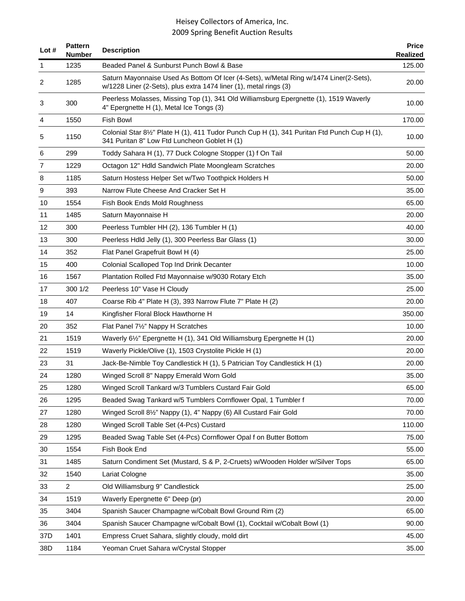| Lot $#$ | <b>Pattern</b><br><b>Number</b> | <b>Description</b>                                                                                                                                         | <b>Price</b><br>Realized |
|---------|---------------------------------|------------------------------------------------------------------------------------------------------------------------------------------------------------|--------------------------|
| 1       | 1235                            | Beaded Panel & Sunburst Punch Bowl & Base                                                                                                                  | 125.00                   |
| 2       | 1285                            | Saturn Mayonnaise Used As Bottom Of Icer (4-Sets), w/Metal Ring w/1474 Liner(2-Sets),<br>w/1228 Liner (2-Sets), plus extra 1474 liner (1), metal rings (3) | 20.00                    |
| 3       | 300                             | Peerless Molasses, Missing Top (1), 341 Old Williamsburg Epergnette (1), 1519 Waverly<br>4" Epergnette H (1), Metal Ice Tongs (3)                          | 10.00                    |
| 4       | 1550                            | <b>Fish Bowl</b>                                                                                                                                           | 170.00                   |
| 5       | 1150                            | Colonial Star 81/2" Plate H (1), 411 Tudor Punch Cup H (1), 341 Puritan Ftd Punch Cup H (1),<br>341 Puritan 8" Low Ftd Luncheon Goblet H (1)               | 10.00                    |
| 6       | 299                             | Toddy Sahara H (1), 77 Duck Cologne Stopper (1) f On Tail                                                                                                  | 50.00                    |
| 7       | 1229                            | Octagon 12" Hdld Sandwich Plate Moongleam Scratches                                                                                                        | 20.00                    |
| 8       | 1185                            | Saturn Hostess Helper Set w/Two Toothpick Holders H                                                                                                        | 50.00                    |
| 9       | 393                             | Narrow Flute Cheese And Cracker Set H                                                                                                                      | 35.00                    |
| 10      | 1554                            | Fish Book Ends Mold Roughness                                                                                                                              | 65.00                    |
| 11      | 1485                            | Saturn Mayonnaise H                                                                                                                                        | 20.00                    |
| 12      | 300                             | Peerless Tumbler HH (2), 136 Tumbler H (1)                                                                                                                 | 40.00                    |
| 13      | 300                             | Peerless Hdld Jelly (1), 300 Peerless Bar Glass (1)                                                                                                        | 30.00                    |
| 14      | 352                             | Flat Panel Grapefruit Bowl H (4)                                                                                                                           | 25.00                    |
| 15      | 400                             | Colonial Scalloped Top Ind Drink Decanter                                                                                                                  | 10.00                    |
| 16      | 1567                            | Plantation Rolled Ftd Mayonnaise w/9030 Rotary Etch                                                                                                        | 35.00                    |
| 17      | 300 1/2                         | Peerless 10" Vase H Cloudy                                                                                                                                 | 25.00                    |
| 18      | 407                             | Coarse Rib 4" Plate H (3), 393 Narrow Flute 7" Plate H (2)                                                                                                 | 20.00                    |
| 19      | 14                              | Kingfisher Floral Block Hawthorne H                                                                                                                        | 350.00                   |
| 20      | 352                             | Flat Panel 7½" Nappy H Scratches                                                                                                                           | 10.00                    |
| 21      | 1519                            | Waverly 6 <sup>1/2</sup> Epergnette H (1), 341 Old Williamsburg Epergnette H (1)                                                                           | 20.00                    |
| 22      | 1519                            | Waverly Pickle/Olive (1), 1503 Crystolite Pickle H (1)                                                                                                     | 20.00                    |
| 23      | 31                              | Jack-Be-Nimble Toy Candlestick H (1), 5 Patrician Toy Candlestick H (1)                                                                                    | 20.00                    |
| 24      | 1280                            | Winged Scroll 8" Nappy Emerald Worn Gold                                                                                                                   | 35.00                    |
| 25      | 1280                            | Winged Scroll Tankard w/3 Tumblers Custard Fair Gold                                                                                                       | 65.00                    |
| 26      | 1295                            | Beaded Swag Tankard w/5 Tumblers Cornflower Opal, 1 Tumbler f                                                                                              | 70.00                    |
| 27      | 1280                            | Winged Scroll 81/2" Nappy (1), 4" Nappy (6) All Custard Fair Gold                                                                                          | 70.00                    |
| 28      | 1280                            | Winged Scroll Table Set (4-Pcs) Custard                                                                                                                    | 110.00                   |
| 29      | 1295                            | Beaded Swag Table Set (4-Pcs) Cornflower Opal f on Butter Bottom                                                                                           | 75.00                    |
| 30      | 1554                            | Fish Book End                                                                                                                                              | 55.00                    |
| 31      | 1485                            | Saturn Condiment Set (Mustard, S & P, 2-Cruets) w/Wooden Holder w/Silver Tops                                                                              | 65.00                    |
| 32      | 1540                            | Lariat Cologne                                                                                                                                             | 35.00                    |
| 33      | $\overline{c}$                  | Old Williamsburg 9" Candlestick                                                                                                                            | 25.00                    |
| 34      | 1519                            | Waverly Epergnette 6" Deep (pr)                                                                                                                            | 20.00                    |
| 35      | 3404                            | Spanish Saucer Champagne w/Cobalt Bowl Ground Rim (2)                                                                                                      | 65.00                    |
| 36      | 3404                            | Spanish Saucer Champagne w/Cobalt Bowl (1), Cocktail w/Cobalt Bowl (1)                                                                                     | 90.00                    |
| 37D     | 1401                            | Empress Cruet Sahara, slightly cloudy, mold dirt                                                                                                           | 45.00                    |
| 38D     | 1184                            | Yeoman Cruet Sahara w/Crystal Stopper                                                                                                                      | 35.00                    |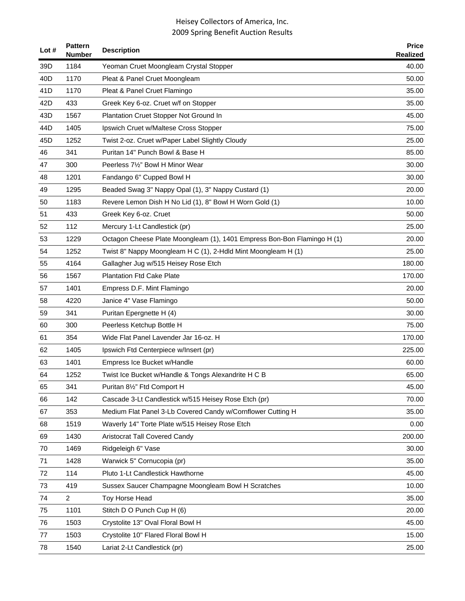| Lot#            | <b>Pattern</b><br><b>Number</b> | <b>Description</b>                                                      | <b>Price</b><br><b>Realized</b> |
|-----------------|---------------------------------|-------------------------------------------------------------------------|---------------------------------|
| 39 <sub>D</sub> | 1184                            | Yeoman Cruet Moongleam Crystal Stopper                                  | 40.00                           |
| 40 <sub>D</sub> | 1170                            | Pleat & Panel Cruet Moongleam                                           | 50.00                           |
| 41D             | 1170                            | Pleat & Panel Cruet Flamingo                                            | 35.00                           |
| 42D             | 433                             | Greek Key 6-oz. Cruet w/f on Stopper                                    | 35.00                           |
| 43D             | 1567                            | Plantation Cruet Stopper Not Ground In                                  | 45.00                           |
| 44 <sub>D</sub> | 1405                            | Ipswich Cruet w/Maltese Cross Stopper                                   | 75.00                           |
| 45D             | 1252                            | Twist 2-oz. Cruet w/Paper Label Slightly Cloudy                         | 25.00                           |
| 46              | 341                             | Puritan 14" Punch Bowl & Base H                                         | 85.00                           |
| 47              | 300                             | Peerless 7½" Bowl H Minor Wear                                          | 30.00                           |
| 48              | 1201                            | Fandango 6" Cupped Bowl H                                               | 30.00                           |
| 49              | 1295                            | Beaded Swag 3" Nappy Opal (1), 3" Nappy Custard (1)                     | 20.00                           |
| 50              | 1183                            | Revere Lemon Dish H No Lid (1), 8" Bowl H Worn Gold (1)                 | 10.00                           |
| 51              | 433                             | Greek Key 6-oz. Cruet                                                   | 50.00                           |
| 52              | 112                             | Mercury 1-Lt Candlestick (pr)                                           | 25.00                           |
| 53              | 1229                            | Octagon Cheese Plate Moongleam (1), 1401 Empress Bon-Bon Flamingo H (1) | 20.00                           |
| 54              | 1252                            | Twist 8" Nappy Moongleam H C (1), 2-Hdld Mint Moongleam H (1)           | 25.00                           |
| 55              | 4164                            | Gallagher Jug w/515 Heisey Rose Etch                                    | 180.00                          |
| 56              | 1567                            | <b>Plantation Ftd Cake Plate</b>                                        | 170.00                          |
| 57              | 1401                            | Empress D.F. Mint Flamingo                                              | 20.00                           |
| 58              | 4220                            | Janice 4" Vase Flamingo                                                 | 50.00                           |
| 59              | 341                             | Puritan Epergnette H (4)                                                | 30.00                           |
| 60              | 300                             | Peerless Ketchup Bottle H                                               | 75.00                           |
| 61              | 354                             | Wide Flat Panel Lavender Jar 16-oz. H                                   | 170.00                          |
| 62              | 1405                            | Ipswich Ftd Centerpiece w/Insert (pr)                                   | 225.00                          |
| 63              | 1401                            | Empress Ice Bucket w/Handle                                             | 60.00                           |
| 64              | 1252                            | Twist Ice Bucket w/Handle & Tongs Alexandrite H C B                     | 65.00                           |
| 65              | 341                             | Puritan 81/2" Ftd Comport H                                             | 45.00                           |
| 66              | 142                             | Cascade 3-Lt Candlestick w/515 Heisey Rose Etch (pr)                    | 70.00                           |
| 67              | 353                             | Medium Flat Panel 3-Lb Covered Candy w/Cornflower Cutting H             | 35.00                           |
| 68              | 1519                            | Waverly 14" Torte Plate w/515 Heisey Rose Etch                          | 0.00                            |
| 69              | 1430                            | Aristocrat Tall Covered Candy                                           | 200.00                          |
| 70              | 1469                            | Ridgeleigh 6" Vase                                                      | 30.00                           |
| 71              | 1428                            | Warwick 5" Cornucopia (pr)                                              | 35.00                           |
| 72              | 114                             | Pluto 1-Lt Candlestick Hawthorne                                        | 45.00                           |
| 73              | 419                             | Sussex Saucer Champagne Moongleam Bowl H Scratches                      | 10.00                           |
| 74              | $\overline{c}$                  | Toy Horse Head                                                          | 35.00                           |
| 75              | 1101                            | Stitch D O Punch Cup H (6)                                              | 20.00                           |
| 76              | 1503                            | Crystolite 13" Oval Floral Bowl H                                       | 45.00                           |
| 77              | 1503                            | Crystolite 10" Flared Floral Bowl H                                     | 15.00                           |
| 78              | 1540                            | Lariat 2-Lt Candlestick (pr)                                            | 25.00                           |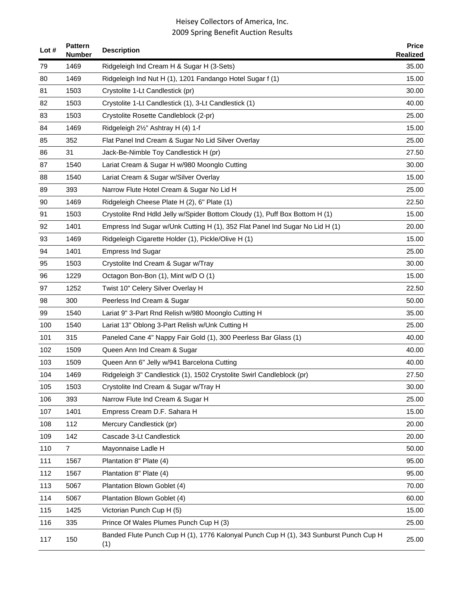| Lot $#$ | <b>Pattern</b><br><b>Number</b> | <b>Description</b>                                                                           | <b>Price</b><br><b>Realized</b> |
|---------|---------------------------------|----------------------------------------------------------------------------------------------|---------------------------------|
| 79      | 1469                            | Ridgeleigh Ind Cream H & Sugar H (3-Sets)                                                    | 35.00                           |
| 80      | 1469                            | Ridgeleigh Ind Nut H (1), 1201 Fandango Hotel Sugar f (1)                                    | 15.00                           |
| 81      | 1503                            | Crystolite 1-Lt Candlestick (pr)                                                             | 30.00                           |
| 82      | 1503                            | Crystolite 1-Lt Candlestick (1), 3-Lt Candlestick (1)                                        | 40.00                           |
| 83      | 1503                            | Crystolite Rosette Candleblock (2-pr)                                                        | 25.00                           |
| 84      | 1469                            | Ridgeleigh 21/2" Ashtray H (4) 1-f                                                           | 15.00                           |
| 85      | 352                             | Flat Panel Ind Cream & Sugar No Lid Silver Overlay                                           | 25.00                           |
| 86      | 31                              | Jack-Be-Nimble Toy Candlestick H (pr)                                                        | 27.50                           |
| 87      | 1540                            | Lariat Cream & Sugar H w/980 Moonglo Cutting                                                 | 30.00                           |
| 88      | 1540                            | Lariat Cream & Sugar w/Silver Overlay                                                        | 15.00                           |
| 89      | 393                             | Narrow Flute Hotel Cream & Sugar No Lid H                                                    | 25.00                           |
| 90      | 1469                            | Ridgeleigh Cheese Plate H (2), 6" Plate (1)                                                  | 22.50                           |
| 91      | 1503                            | Crystolite Rnd Hdld Jelly w/Spider Bottom Cloudy (1), Puff Box Bottom H (1)                  | 15.00                           |
| 92      | 1401                            | Empress Ind Sugar w/Unk Cutting H (1), 352 Flat Panel Ind Sugar No Lid H (1)                 | 20.00                           |
| 93      | 1469                            | Ridgeleigh Cigarette Holder (1), Pickle/Olive H (1)                                          | 15.00                           |
| 94      | 1401                            | <b>Empress Ind Sugar</b>                                                                     | 25.00                           |
| 95      | 1503                            | Crystolite Ind Cream & Sugar w/Tray                                                          | 30.00                           |
| 96      | 1229                            | Octagon Bon-Bon (1), Mint w/D O (1)                                                          | 15.00                           |
| 97      | 1252                            | Twist 10" Celery Silver Overlay H                                                            | 22.50                           |
| 98      | 300                             | Peerless Ind Cream & Sugar                                                                   | 50.00                           |
| 99      | 1540                            | Lariat 9" 3-Part Rnd Relish w/980 Moonglo Cutting H                                          | 35.00                           |
| 100     | 1540                            | Lariat 13" Oblong 3-Part Relish w/Unk Cutting H                                              | 25.00                           |
| 101     | 315                             | Paneled Cane 4" Nappy Fair Gold (1), 300 Peerless Bar Glass (1)                              | 40.00                           |
| 102     | 1509                            | Queen Ann Ind Cream & Sugar                                                                  | 40.00                           |
| 103     | 1509                            | Queen Ann 6" Jelly w/941 Barcelona Cutting                                                   | 40.00                           |
| 104     | 1469                            | Ridgeleigh 3" Candlestick (1), 1502 Crystolite Swirl Candleblock (pr)                        | 27.50                           |
| 105     | 1503                            | Crystolite Ind Cream & Sugar w/Tray H                                                        | 30.00                           |
| 106     | 393                             | Narrow Flute Ind Cream & Sugar H                                                             | 25.00                           |
| 107     | 1401                            | Empress Cream D.F. Sahara H                                                                  | 15.00                           |
| 108     | 112                             | Mercury Candlestick (pr)                                                                     | 20.00                           |
| 109     | 142                             | Cascade 3-Lt Candlestick                                                                     | 20.00                           |
| 110     | 7                               | Mayonnaise Ladle H                                                                           | 50.00                           |
| 111     | 1567                            | Plantation 8" Plate (4)                                                                      | 95.00                           |
| 112     | 1567                            | Plantation 8" Plate (4)                                                                      | 95.00                           |
| 113     | 5067                            | Plantation Blown Goblet (4)                                                                  | 70.00                           |
| 114     | 5067                            | Plantation Blown Goblet (4)                                                                  | 60.00                           |
| 115     | 1425                            | Victorian Punch Cup H (5)                                                                    | 15.00                           |
| 116     | 335                             | Prince Of Wales Plumes Punch Cup H (3)                                                       | 25.00                           |
| 117     | 150                             | Banded Flute Punch Cup H (1), 1776 Kalonyal Punch Cup H (1), 343 Sunburst Punch Cup H<br>(1) | 25.00                           |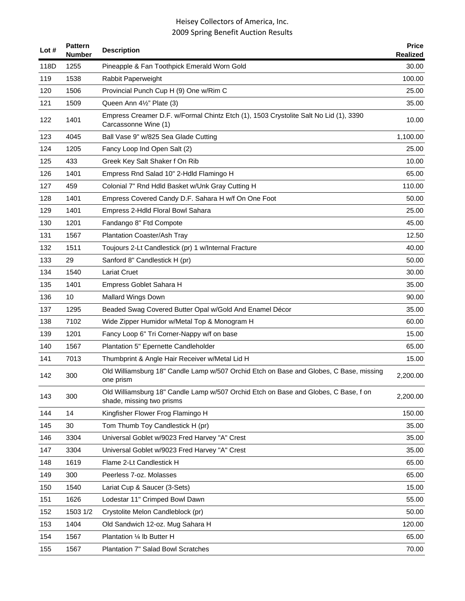| Lot $#$ | <b>Pattern</b><br><b>Number</b> | <b>Description</b>                                                                                               | <b>Price</b><br><b>Realized</b> |
|---------|---------------------------------|------------------------------------------------------------------------------------------------------------------|---------------------------------|
| 118D    | 1255                            | Pineapple & Fan Toothpick Emerald Worn Gold                                                                      | 30.00                           |
| 119     | 1538                            | Rabbit Paperweight                                                                                               | 100.00                          |
| 120     | 1506                            | Provincial Punch Cup H (9) One w/Rim C                                                                           | 25.00                           |
| 121     | 1509                            | Queen Ann 41/2" Plate (3)                                                                                        | 35.00                           |
| 122     | 1401                            | Empress Creamer D.F. w/Formal Chintz Etch (1), 1503 Crystolite Salt No Lid (1), 3390<br>Carcassonne Wine (1)     | 10.00                           |
| 123     | 4045                            | Ball Vase 9" w/825 Sea Glade Cutting                                                                             | 1,100.00                        |
| 124     | 1205                            | Fancy Loop Ind Open Salt (2)                                                                                     | 25.00                           |
| 125     | 433                             | Greek Key Salt Shaker f On Rib                                                                                   | 10.00                           |
| 126     | 1401                            | Empress Rnd Salad 10" 2-Hdld Flamingo H                                                                          | 65.00                           |
| 127     | 459                             | Colonial 7" Rnd Hdld Basket w/Unk Gray Cutting H                                                                 | 110.00                          |
| 128     | 1401                            | Empress Covered Candy D.F. Sahara H w/f On One Foot                                                              | 50.00                           |
| 129     | 1401                            | Empress 2-Hdld Floral Bowl Sahara                                                                                | 25.00                           |
| 130     | 1201                            | Fandango 8" Ftd Compote                                                                                          | 45.00                           |
| 131     | 1567                            | Plantation Coaster/Ash Tray                                                                                      | 12.50                           |
| 132     | 1511                            | Toujours 2-Lt Candlestick (pr) 1 w/Internal Fracture                                                             | 40.00                           |
| 133     | 29                              | Sanford 8" Candlestick H (pr)                                                                                    | 50.00                           |
| 134     | 1540                            | <b>Lariat Cruet</b>                                                                                              | 30.00                           |
| 135     | 1401                            | Empress Goblet Sahara H                                                                                          | 35.00                           |
| 136     | 10                              | <b>Mallard Wings Down</b>                                                                                        | 90.00                           |
| 137     | 1295                            | Beaded Swag Covered Butter Opal w/Gold And Enamel Décor                                                          | 35.00                           |
| 138     | 7102                            | Wide Zipper Humidor w/Metal Top & Monogram H                                                                     | 60.00                           |
| 139     | 1201                            | Fancy Loop 6" Tri Corner-Nappy w/f on base                                                                       | 15.00                           |
| 140     | 1567                            | Plantation 5" Epernette Candleholder                                                                             | 65.00                           |
| 141     | 7013                            | Thumbprint & Angle Hair Receiver w/Metal Lid H                                                                   | 15.00                           |
| 142     | 300                             | Old Williamsburg 18" Candle Lamp w/507 Orchid Etch on Base and Globes, C Base, missing<br>one prism              | 2,200.00                        |
| 143     | 300                             | Old Williamsburg 18" Candle Lamp w/507 Orchid Etch on Base and Globes, C Base, f on<br>shade, missing two prisms | 2,200.00                        |
| 144     | 14                              | Kingfisher Flower Frog Flamingo H                                                                                | 150.00                          |
| 145     | 30                              | Tom Thumb Toy Candlestick H (pr)                                                                                 | 35.00                           |
| 146     | 3304                            | Universal Goblet w/9023 Fred Harvey "A" Crest                                                                    | 35.00                           |
| 147     | 3304                            | Universal Goblet w/9023 Fred Harvey "A" Crest                                                                    | 35.00                           |
| 148     | 1619                            | Flame 2-Lt Candlestick H                                                                                         | 65.00                           |
| 149     | 300                             | Peerless 7-oz. Molasses                                                                                          | 65.00                           |
| 150     | 1540                            | Lariat Cup & Saucer (3-Sets)                                                                                     | 15.00                           |
| 151     | 1626                            | Lodestar 11" Crimped Bowl Dawn                                                                                   | 55.00                           |
| 152     | 1503 1/2                        | Crystolite Melon Candleblock (pr)                                                                                | 50.00                           |
| 153     | 1404                            | Old Sandwich 12-oz. Mug Sahara H                                                                                 | 120.00                          |
| 154     | 1567                            | Plantation 1/4 lb Butter H                                                                                       | 65.00                           |
| 155     | 1567                            | Plantation 7" Salad Bowl Scratches                                                                               | 70.00                           |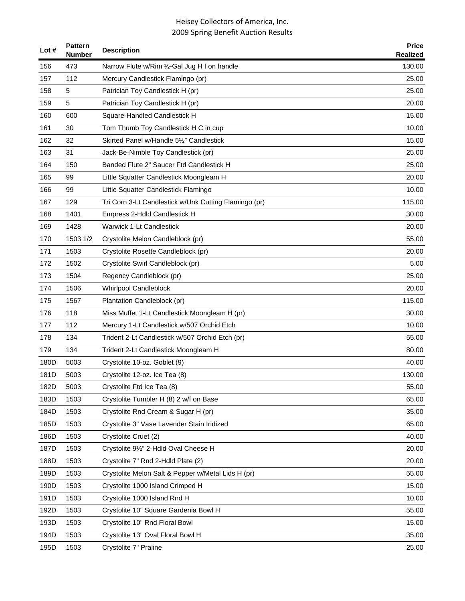| Lot $#$ | <b>Pattern</b><br><b>Number</b> | <b>Description</b>                                    | <b>Price</b><br><b>Realized</b> |
|---------|---------------------------------|-------------------------------------------------------|---------------------------------|
| 156     | 473                             | Narrow Flute w/Rim 1/2-Gal Jug H f on handle          | 130.00                          |
| 157     | 112                             | Mercury Candlestick Flamingo (pr)                     | 25.00                           |
| 158     | 5                               | Patrician Toy Candlestick H (pr)                      | 25.00                           |
| 159     | 5                               | Patrician Toy Candlestick H (pr)                      | 20.00                           |
| 160     | 600                             | Square-Handled Candlestick H                          | 15.00                           |
| 161     | 30                              | Tom Thumb Toy Candlestick H C in cup                  | 10.00                           |
| 162     | 32                              | Skirted Panel w/Handle 51/2" Candlestick              | 15.00                           |
| 163     | 31                              | Jack-Be-Nimble Toy Candlestick (pr)                   | 25.00                           |
| 164     | 150                             | Banded Flute 2" Saucer Ftd Candlestick H              | 25.00                           |
| 165     | 99                              | Little Squatter Candlestick Moongleam H               | 20.00                           |
| 166     | 99                              | Little Squatter Candlestick Flamingo                  | 10.00                           |
| 167     | 129                             | Tri Corn 3-Lt Candlestick w/Unk Cutting Flamingo (pr) | 115.00                          |
| 168     | 1401                            | Empress 2-Hdld Candlestick H                          | 30.00                           |
| 169     | 1428                            | <b>Warwick 1-Lt Candlestick</b>                       | 20.00                           |
| 170     | 1503 1/2                        | Crystolite Melon Candleblock (pr)                     | 55.00                           |
| 171     | 1503                            | Crystolite Rosette Candleblock (pr)                   | 20.00                           |
| 172     | 1502                            | Crystolite Swirl Candleblock (pr)                     | 5.00                            |
| 173     | 1504                            | Regency Candleblock (pr)                              | 25.00                           |
| 174     | 1506                            | Whirlpool Candleblock                                 | 20.00                           |
| 175     | 1567                            | Plantation Candleblock (pr)                           | 115.00                          |
| 176     | 118                             | Miss Muffet 1-Lt Candlestick Moongleam H (pr)         | 30.00                           |
| 177     | 112                             | Mercury 1-Lt Candlestick w/507 Orchid Etch            | 10.00                           |
| 178     | 134                             | Trident 2-Lt Candlestick w/507 Orchid Etch (pr)       | 55.00                           |
| 179     | 134                             | Trident 2-Lt Candlestick Moongleam H                  | 80.00                           |
| 180D    | 5003                            | Crystolite 10-oz. Goblet (9)                          | 40.00                           |
| 181D    | 5003                            | Crystolite 12-oz. Ice Tea (8)                         | 130.00                          |
| 182D    | 5003                            | Crystolite Ftd Ice Tea (8)                            | 55.00                           |
| 183D    | 1503                            | Crystolite Tumbler H (8) 2 w/f on Base                | 65.00                           |
| 184D    | 1503                            | Crystolite Rnd Cream & Sugar H (pr)                   | 35.00                           |
| 185D    | 1503                            | Crystolite 3" Vase Lavender Stain Iridized            | 65.00                           |
| 186D    | 1503                            | Crystolite Cruet (2)                                  | 40.00                           |
| 187D    | 1503                            | Crystolite 91/2" 2-Hdld Oval Cheese H                 | 20.00                           |
| 188D    | 1503                            | Crystolite 7" Rnd 2-Hdld Plate (2)                    | 20.00                           |
| 189D    | 1503                            | Crystolite Melon Salt & Pepper w/Metal Lids H (pr)    | 55.00                           |
| 190D    | 1503                            | Crystolite 1000 Island Crimped H                      | 15.00                           |
| 191D    | 1503                            | Crystolite 1000 Island Rnd H                          | 10.00                           |
| 192D    | 1503                            | Crystolite 10" Square Gardenia Bowl H                 | 55.00                           |
| 193D    | 1503                            | Crystolite 10" Rnd Floral Bowl                        | 15.00                           |
| 194D    | 1503                            | Crystolite 13" Oval Floral Bowl H                     | 35.00                           |
| 195D    | 1503                            | Crystolite 7" Praline                                 | 25.00                           |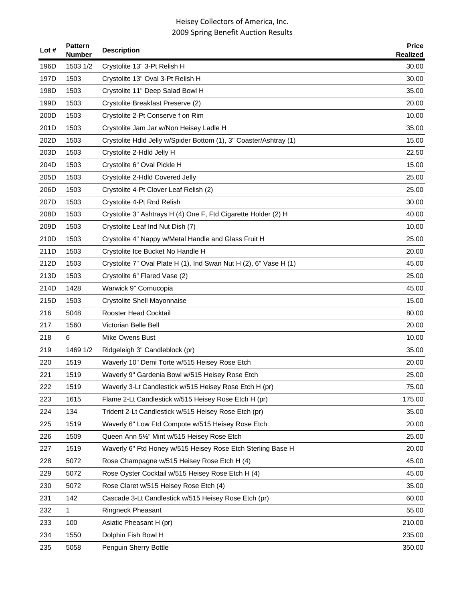| Lot $#$ | <b>Pattern</b><br>Number | <b>Description</b>                                                | <b>Price</b><br><b>Realized</b> |
|---------|--------------------------|-------------------------------------------------------------------|---------------------------------|
| 196D    | 1503 1/2                 | Crystolite 13" 3-Pt Relish H                                      | 30.00                           |
| 197D    | 1503                     | Crystolite 13" Oval 3-Pt Relish H                                 | 30.00                           |
| 198D    | 1503                     | Crystolite 11" Deep Salad Bowl H                                  | 35.00                           |
| 199D    | 1503                     | Crystolite Breakfast Preserve (2)                                 | 20.00                           |
| 200D    | 1503                     | Crystolite 2-Pt Conserve f on Rim                                 | 10.00                           |
| 201D    | 1503                     | Crystolite Jam Jar w/Non Heisey Ladle H                           | 35.00                           |
| 202D    | 1503                     | Crystolite Hdld Jelly w/Spider Bottom (1), 3" Coaster/Ashtray (1) | 15.00                           |
| 203D    | 1503                     | Crystolite 2-Hdld Jelly H                                         | 22.50                           |
| 204D    | 1503                     | Crystolite 6" Oval Pickle H                                       | 15.00                           |
| 205D    | 1503                     | Crystolite 2-Hdld Covered Jelly                                   | 25.00                           |
| 206D    | 1503                     | Crystolite 4-Pt Clover Leaf Relish (2)                            | 25.00                           |
| 207D    | 1503                     | Crystolite 4-Pt Rnd Relish                                        | 30.00                           |
| 208D    | 1503                     | Crystolite 3" Ashtrays H (4) One F, Ftd Cigarette Holder (2) H    | 40.00                           |
| 209D    | 1503                     | Crystolite Leaf Ind Nut Dish (7)                                  | 10.00                           |
| 210D    | 1503                     | Crystolite 4" Nappy w/Metal Handle and Glass Fruit H              | 25.00                           |
| 211D    | 1503                     | Crystolite Ice Bucket No Handle H                                 | 20.00                           |
| 212D    | 1503                     | Crystolite 7" Oval Plate H (1), Ind Swan Nut H (2), 6" Vase H (1) | 45.00                           |
| 213D    | 1503                     | Crystolite 6" Flared Vase (2)                                     | 25.00                           |
| 214D    | 1428                     | Warwick 9" Cornucopia                                             | 45.00                           |
| 215D    | 1503                     | Crystolite Shell Mayonnaise                                       | 15.00                           |
| 216     | 5048                     | <b>Rooster Head Cocktail</b>                                      | 80.00                           |
| 217     | 1560                     | Victorian Belle Bell                                              | 20.00                           |
| 218     | 6                        | Mike Owens Bust                                                   | 10.00                           |
| 219     | 1469 1/2                 | Ridgeleigh 3" Candleblock (pr)                                    | 35.00                           |
| 220     | 1519                     | Waverly 10" Demi Torte w/515 Heisey Rose Etch                     | 20.00                           |
| 221     | 1519                     | Waverly 9" Gardenia Bowl w/515 Heisey Rose Etch                   | 25.00                           |
| 222     | 1519                     | Waverly 3-Lt Candlestick w/515 Heisey Rose Etch H (pr)            | 75.00                           |
| 223     | 1615                     | Flame 2-Lt Candlestick w/515 Heisey Rose Etch H (pr)              | 175.00                          |
| 224     | 134                      | Trident 2-Lt Candlestick w/515 Heisey Rose Etch (pr)              | 35.00                           |
| 225     | 1519                     | Waverly 6" Low Ftd Compote w/515 Heisey Rose Etch                 | 20.00                           |
| 226     | 1509                     | Queen Ann 51/2" Mint w/515 Heisey Rose Etch                       | 25.00                           |
| 227     | 1519                     | Waverly 6" Ftd Honey w/515 Heisey Rose Etch Sterling Base H       | 20.00                           |
| 228     | 5072                     | Rose Champagne w/515 Heisey Rose Etch H (4)                       | 45.00                           |
| 229     | 5072                     | Rose Oyster Cocktail w/515 Heisey Rose Etch H (4)                 | 45.00                           |
| 230     | 5072                     | Rose Claret w/515 Heisey Rose Etch (4)                            | 35.00                           |
| 231     | 142                      | Cascade 3-Lt Candlestick w/515 Heisey Rose Etch (pr)              | 60.00                           |
| 232     | 1                        | <b>Ringneck Pheasant</b>                                          | 55.00                           |
| 233     | 100                      | Asiatic Pheasant H (pr)                                           | 210.00                          |
| 234     | 1550                     | Dolphin Fish Bowl H                                               | 235.00                          |
| 235     | 5058                     | Penguin Sherry Bottle                                             | 350.00                          |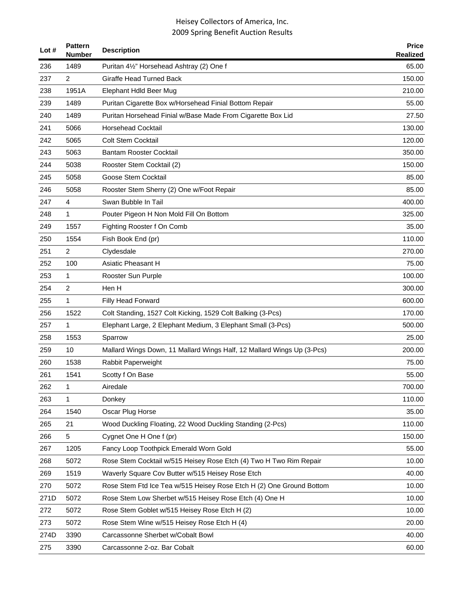| Lot $#$ | <b>Pattern</b><br>Number | <b>Description</b>                                                     | <b>Price</b><br><b>Realized</b> |
|---------|--------------------------|------------------------------------------------------------------------|---------------------------------|
| 236     | 1489                     | Puritan 41/2" Horsehead Ashtray (2) One f                              | 65.00                           |
| 237     | 2                        | <b>Giraffe Head Turned Back</b>                                        | 150.00                          |
| 238     | 1951A                    | Elephant Hdld Beer Mug                                                 | 210.00                          |
| 239     | 1489                     | Puritan Cigarette Box w/Horsehead Finial Bottom Repair                 | 55.00                           |
| 240     | 1489                     | Puritan Horsehead Finial w/Base Made From Cigarette Box Lid            | 27.50                           |
| 241     | 5066                     | <b>Horsehead Cocktail</b>                                              | 130.00                          |
| 242     | 5065                     | <b>Colt Stem Cocktail</b>                                              | 120.00                          |
| 243     | 5063                     | <b>Bantam Rooster Cocktail</b>                                         | 350.00                          |
| 244     | 5038                     | Rooster Stem Cocktail (2)                                              | 150.00                          |
| 245     | 5058                     | Goose Stem Cocktail                                                    | 85.00                           |
| 246     | 5058                     | Rooster Stem Sherry (2) One w/Foot Repair                              | 85.00                           |
| 247     | 4                        | Swan Bubble In Tail                                                    | 400.00                          |
| 248     | 1                        | Pouter Pigeon H Non Mold Fill On Bottom                                | 325.00                          |
| 249     | 1557                     | Fighting Rooster f On Comb                                             | 35.00                           |
| 250     | 1554                     | Fish Book End (pr)                                                     | 110.00                          |
| 251     | 2                        | Clydesdale                                                             | 270.00                          |
| 252     | 100                      | <b>Asiatic Pheasant H</b>                                              | 75.00                           |
| 253     | 1                        | Rooster Sun Purple                                                     | 100.00                          |
| 254     | $\overline{c}$           | Hen H                                                                  | 300.00                          |
| 255     | 1                        | Filly Head Forward                                                     | 600.00                          |
| 256     | 1522                     | Colt Standing, 1527 Colt Kicking, 1529 Colt Balking (3-Pcs)            | 170.00                          |
| 257     | 1                        | Elephant Large, 2 Elephant Medium, 3 Elephant Small (3-Pcs)            | 500.00                          |
| 258     | 1553                     | Sparrow                                                                | 25.00                           |
| 259     | 10                       | Mallard Wings Down, 11 Mallard Wings Half, 12 Mallard Wings Up (3-Pcs) | 200.00                          |
| 260     | 1538                     | Rabbit Paperweight                                                     | 75.00                           |
| 261     | 1541                     | Scotty f On Base                                                       | 55.00                           |
| 262     | 1                        | Airedale                                                               | 700.00                          |
| 263     | 1                        | Donkey                                                                 | 110.00                          |
| 264     | 1540                     | Oscar Plug Horse                                                       | 35.00                           |
| 265     | 21                       | Wood Duckling Floating, 22 Wood Duckling Standing (2-Pcs)              | 110.00                          |
| 266     | 5                        | Cygnet One H One f (pr)                                                | 150.00                          |
| 267     | 1205                     | Fancy Loop Toothpick Emerald Worn Gold                                 | 55.00                           |
| 268     | 5072                     | Rose Stem Cocktail w/515 Heisey Rose Etch (4) Two H Two Rim Repair     | 10.00                           |
| 269     | 1519                     | Waverly Square Cov Butter w/515 Heisey Rose Etch                       | 40.00                           |
| 270     | 5072                     | Rose Stem Ftd Ice Tea w/515 Heisey Rose Etch H (2) One Ground Bottom   | 10.00                           |
| 271D    | 5072                     | Rose Stem Low Sherbet w/515 Heisey Rose Etch (4) One H                 | 10.00                           |
| 272     | 5072                     | Rose Stem Goblet w/515 Heisey Rose Etch H (2)                          | 10.00                           |
| 273     | 5072                     | Rose Stem Wine w/515 Heisey Rose Etch H (4)                            | 20.00                           |
| 274D    | 3390                     | Carcassonne Sherbet w/Cobalt Bowl                                      | 40.00                           |
| 275     | 3390                     | Carcassonne 2-oz. Bar Cobalt                                           | 60.00                           |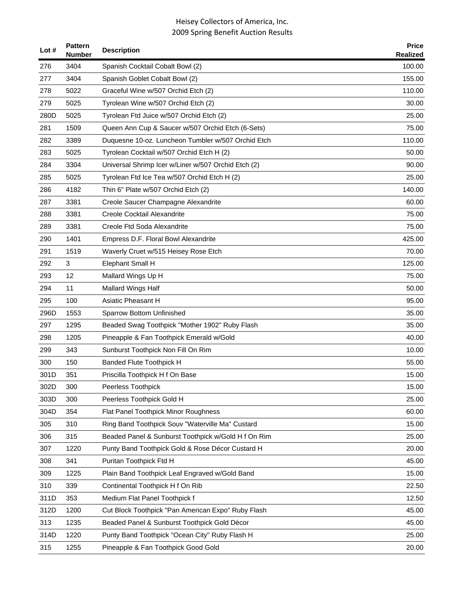| Lot $#$ | <b>Pattern</b><br><b>Number</b> | <b>Description</b>                                  | <b>Price</b><br><b>Realized</b> |
|---------|---------------------------------|-----------------------------------------------------|---------------------------------|
| 276     | 3404                            | Spanish Cocktail Cobalt Bowl (2)                    | 100.00                          |
| 277     | 3404                            | Spanish Goblet Cobalt Bowl (2)                      | 155.00                          |
| 278     | 5022                            | Graceful Wine w/507 Orchid Etch (2)                 | 110.00                          |
| 279     | 5025                            | Tyrolean Wine w/507 Orchid Etch (2)                 | 30.00                           |
| 280D    | 5025                            | Tyrolean Ftd Juice w/507 Orchid Etch (2)            | 25.00                           |
| 281     | 1509                            | Queen Ann Cup & Saucer w/507 Orchid Etch (6-Sets)   | 75.00                           |
| 282     | 3389                            | Duquesne 10-oz. Luncheon Tumbler w/507 Orchid Etch  | 110.00                          |
| 283     | 5025                            | Tyrolean Cocktail w/507 Orchid Etch H (2)           | 50.00                           |
| 284     | 3304                            | Universal Shrimp Icer w/Liner w/507 Orchid Etch (2) | 90.00                           |
| 285     | 5025                            | Tyrolean Ftd Ice Tea w/507 Orchid Etch H (2)        | 25.00                           |
| 286     | 4182                            | Thin 6" Plate w/507 Orchid Etch (2)                 | 140.00                          |
| 287     | 3381                            | Creole Saucer Champagne Alexandrite                 | 60.00                           |
| 288     | 3381                            | Creole Cocktail Alexandrite                         | 75.00                           |
| 289     | 3381                            | Creole Ftd Soda Alexandrite                         | 75.00                           |
| 290     | 1401                            | Empress D.F. Floral Bowl Alexandrite                | 425.00                          |
| 291     | 1519                            | Waverly Cruet w/515 Heisey Rose Etch                | 70.00                           |
| 292     | 3                               | Elephant Small H                                    | 125.00                          |
| 293     | 12                              | Mallard Wings Up H                                  | 75.00                           |
| 294     | 11                              | Mallard Wings Half                                  | 50.00                           |
| 295     | 100                             | Asiatic Pheasant H                                  | 95.00                           |
| 296D    | 1553                            | Sparrow Bottom Unfinished                           | 35.00                           |
| 297     | 1295                            | Beaded Swag Toothpick "Mother 1902" Ruby Flash      | 35.00                           |
| 298     | 1205                            | Pineapple & Fan Toothpick Emerald w/Gold            | 40.00                           |
| 299     | 343                             | Sunburst Toothpick Non Fill On Rim                  | 10.00                           |
| 300     | 150                             | <b>Banded Flute Toothpick H</b>                     | 55.00                           |
| 301D    | 351                             | Priscilla Toothpick H f On Base                     | 15.00                           |
| 302D    | 300                             | Peerless Toothpick                                  | 15.00                           |
| 303D    | 300                             | Peerless Toothpick Gold H                           | 25.00                           |
| 304D    | 354                             | Flat Panel Toothpick Minor Roughness                | 60.00                           |
| 305     | 310                             | Ring Band Toothpick Souv "Waterville Ma" Custard    | 15.00                           |
| 306     | 315                             | Beaded Panel & Sunburst Toothpick w/Gold H f On Rim | 25.00                           |
| 307     | 1220                            | Punty Band Toothpick Gold & Rose Décor Custard H    | 20.00                           |
| 308     | 341                             | Puritan Toothpick Ftd H                             | 45.00                           |
| 309     | 1225                            | Plain Band Toothpick Leaf Engraved w/Gold Band      | 15.00                           |
| 310     | 339                             | Continental Toothpick H f On Rib                    | 22.50                           |
| 311D    | 353                             | Medium Flat Panel Toothpick f                       | 12.50                           |
| 312D    | 1200                            | Cut Block Toothpick "Pan American Expo" Ruby Flash  | 45.00                           |
| 313     | 1235                            | Beaded Panel & Sunburst Toothpick Gold Décor        | 45.00                           |
| 314D    | 1220                            | Punty Band Toothpick "Ocean City" Ruby Flash H      | 25.00                           |
| 315     | 1255                            | Pineapple & Fan Toothpick Good Gold                 | 20.00                           |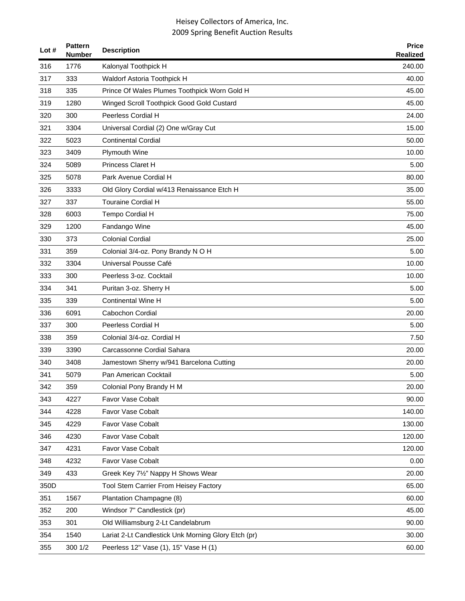| Lot# | <b>Pattern</b><br><b>Number</b> | <b>Description</b>                                  | <b>Price</b><br><b>Realized</b> |
|------|---------------------------------|-----------------------------------------------------|---------------------------------|
| 316  | 1776                            | Kalonyal Toothpick H                                | 240.00                          |
| 317  | 333                             | Waldorf Astoria Toothpick H                         | 40.00                           |
| 318  | 335                             | Prince Of Wales Plumes Toothpick Worn Gold H        | 45.00                           |
| 319  | 1280                            | Winged Scroll Toothpick Good Gold Custard           | 45.00                           |
| 320  | 300                             | Peerless Cordial H                                  | 24.00                           |
| 321  | 3304                            | Universal Cordial (2) One w/Gray Cut                | 15.00                           |
| 322  | 5023                            | <b>Continental Cordial</b>                          | 50.00                           |
| 323  | 3409                            | Plymouth Wine                                       | 10.00                           |
| 324  | 5089                            | <b>Princess Claret H</b>                            | 5.00                            |
| 325  | 5078                            | Park Avenue Cordial H                               | 80.00                           |
| 326  | 3333                            | Old Glory Cordial w/413 Renaissance Etch H          | 35.00                           |
| 327  | 337                             | <b>Touraine Cordial H</b>                           | 55.00                           |
| 328  | 6003                            | Tempo Cordial H                                     | 75.00                           |
| 329  | 1200                            | Fandango Wine                                       | 45.00                           |
| 330  | 373                             | <b>Colonial Cordial</b>                             | 25.00                           |
| 331  | 359                             | Colonial 3/4-oz. Pony Brandy N O H                  | 5.00                            |
| 332  | 3304                            | Universal Pousse Café                               | 10.00                           |
| 333  | 300                             | Peerless 3-oz. Cocktail                             | 10.00                           |
| 334  | 341                             | Puritan 3-oz. Sherry H                              | 5.00                            |
| 335  | 339                             | <b>Continental Wine H</b>                           | 5.00                            |
| 336  | 6091                            | Cabochon Cordial                                    | 20.00                           |
| 337  | 300                             | Peerless Cordial H                                  | 5.00                            |
| 338  | 359                             | Colonial 3/4-oz. Cordial H                          | 7.50                            |
| 339  | 3390                            | Carcassonne Cordial Sahara                          | 20.00                           |
| 340  | 3408                            | Jamestown Sherry w/941 Barcelona Cutting            | 20.00                           |
| 341  | 5079                            | Pan American Cocktail                               | 5.00                            |
| 342  | 359                             | Colonial Pony Brandy H M                            | 20.00                           |
| 343  | 4227                            | Favor Vase Cobalt                                   | 90.00                           |
| 344  | 4228                            | Favor Vase Cobalt                                   | 140.00                          |
| 345  | 4229                            | Favor Vase Cobalt                                   | 130.00                          |
| 346  | 4230                            | Favor Vase Cobalt                                   | 120.00                          |
| 347  | 4231                            | Favor Vase Cobalt                                   | 120.00                          |
| 348  | 4232                            | Favor Vase Cobalt                                   | 0.00                            |
| 349  | 433                             | Greek Key 71/2" Nappy H Shows Wear                  | 20.00                           |
| 350D |                                 | Tool Stem Carrier From Heisey Factory               | 65.00                           |
| 351  | 1567                            | Plantation Champagne (8)                            | 60.00                           |
| 352  | 200                             | Windsor 7" Candlestick (pr)                         | 45.00                           |
| 353  | 301                             | Old Williamsburg 2-Lt Candelabrum                   | 90.00                           |
| 354  | 1540                            | Lariat 2-Lt Candlestick Unk Morning Glory Etch (pr) | 30.00                           |
| 355  | 300 1/2                         | Peerless 12" Vase (1), 15" Vase H (1)               | 60.00                           |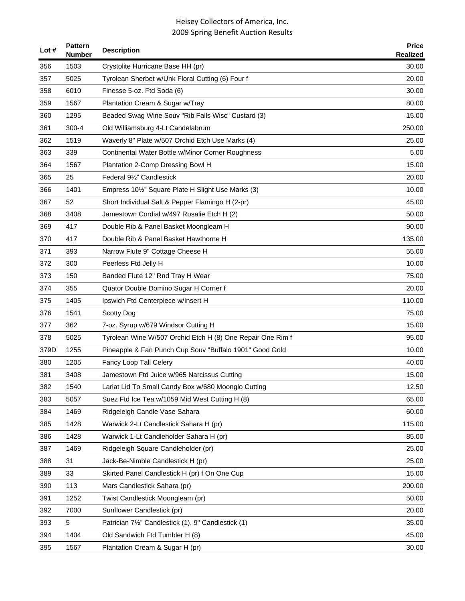| Lot # | <b>Pattern</b><br><b>Number</b> | <b>Description</b>                                         | <b>Price</b><br>Realized |
|-------|---------------------------------|------------------------------------------------------------|--------------------------|
| 356   | 1503                            | Crystolite Hurricane Base HH (pr)                          | 30.00                    |
| 357   | 5025                            | Tyrolean Sherbet w/Unk Floral Cutting (6) Four f           | 20.00                    |
| 358   | 6010                            | Finesse 5-oz. Ftd Soda (6)                                 | 30.00                    |
| 359   | 1567                            | Plantation Cream & Sugar w/Tray                            | 80.00                    |
| 360   | 1295                            | Beaded Swag Wine Souv "Rib Falls Wisc" Custard (3)         | 15.00                    |
| 361   | $300 - 4$                       | Old Williamsburg 4-Lt Candelabrum                          | 250.00                   |
| 362   | 1519                            | Waverly 8" Plate w/507 Orchid Etch Use Marks (4)           | 25.00                    |
| 363   | 339                             | Continental Water Bottle w/Minor Corner Roughness          | 5.00                     |
| 364   | 1567                            | Plantation 2-Comp Dressing Bowl H                          | 15.00                    |
| 365   | 25                              | Federal 91/2" Candlestick                                  | 20.00                    |
| 366   | 1401                            | Empress 101/2" Square Plate H Slight Use Marks (3)         | 10.00                    |
| 367   | 52                              | Short Individual Salt & Pepper Flamingo H (2-pr)           | 45.00                    |
| 368   | 3408                            | Jamestown Cordial w/497 Rosalie Etch H (2)                 | 50.00                    |
| 369   | 417                             | Double Rib & Panel Basket Moongleam H                      | 90.00                    |
| 370   | 417                             | Double Rib & Panel Basket Hawthorne H                      | 135.00                   |
| 371   | 393                             | Narrow Flute 9" Cottage Cheese H                           | 55.00                    |
| 372   | 300                             | Peerless Ftd Jelly H                                       | 10.00                    |
| 373   | 150                             | Banded Flute 12" Rnd Tray H Wear                           | 75.00                    |
| 374   | 355                             | Quator Double Domino Sugar H Corner f                      | 20.00                    |
| 375   | 1405                            | Ipswich Ftd Centerpiece w/Insert H                         | 110.00                   |
| 376   | 1541                            | <b>Scotty Dog</b>                                          | 75.00                    |
| 377   | 362                             | 7-oz. Syrup w/679 Windsor Cutting H                        | 15.00                    |
| 378   | 5025                            | Tyrolean Wine W/507 Orchid Etch H (8) One Repair One Rim f | 95.00                    |
| 379D  | 1255                            | Pineapple & Fan Punch Cup Souv "Buffalo 1901" Good Gold    | 10.00                    |
| 380   | 1205                            | Fancy Loop Tall Celery                                     | 40.00                    |
| 381   | 3408                            | Jamestown Ftd Juice w/965 Narcissus Cutting                | 15.00                    |
| 382   | 1540                            | Lariat Lid To Small Candy Box w/680 Moonglo Cutting        | 12.50                    |
| 383   | 5057                            | Suez Ftd Ice Tea w/1059 Mid West Cutting H (8)             | 65.00                    |
| 384   | 1469                            | Ridgeleigh Candle Vase Sahara                              | 60.00                    |
| 385   | 1428                            | Warwick 2-Lt Candlestick Sahara H (pr)                     | 115.00                   |
| 386   | 1428                            | Warwick 1-Lt Candleholder Sahara H (pr)                    | 85.00                    |
| 387   | 1469                            | Ridgeleigh Square Candleholder (pr)                        | 25.00                    |
| 388   | 31                              | Jack-Be-Nimble Candlestick H (pr)                          | 25.00                    |
| 389   | 33                              | Skirted Panel Candlestick H (pr) f On One Cup              | 15.00                    |
| 390   | 113                             | Mars Candlestick Sahara (pr)                               | 200.00                   |
| 391   | 1252                            | Twist Candlestick Moongleam (pr)                           | 50.00                    |
| 392   | 7000                            | Sunflower Candlestick (pr)                                 | 20.00                    |
| 393   | 5                               | Patrician 71/2" Candlestick (1), 9" Candlestick (1)        | 35.00                    |
| 394   | 1404                            | Old Sandwich Ftd Tumbler H (8)                             | 45.00                    |
| 395   | 1567                            | Plantation Cream & Sugar H (pr)                            | 30.00                    |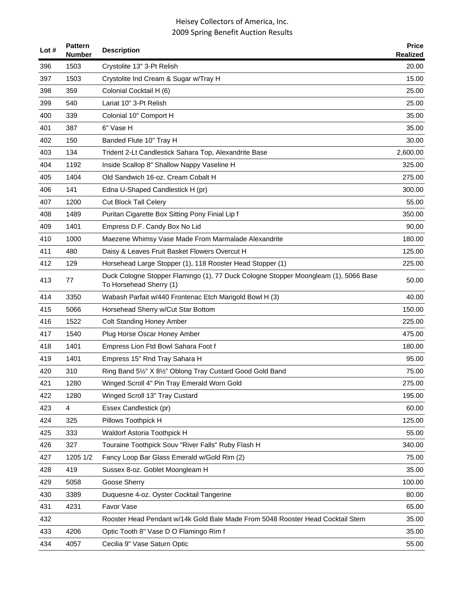| Lot $#$ | <b>Pattern</b><br><b>Number</b> | <b>Description</b>                                                                                             | <b>Price</b><br><b>Realized</b> |
|---------|---------------------------------|----------------------------------------------------------------------------------------------------------------|---------------------------------|
| 396     | 1503                            | Crystolite 13" 3-Pt Relish                                                                                     | 20.00                           |
| 397     | 1503                            | Crystolite Ind Cream & Sugar w/Tray H                                                                          | 15.00                           |
| 398     | 359                             | Colonial Cocktail H (6)                                                                                        | 25.00                           |
| 399     | 540                             | Lariat 10" 3-Pt Relish                                                                                         | 25.00                           |
| 400     | 339                             | Colonial 10" Comport H                                                                                         | 35.00                           |
| 401     | 387                             | 6" Vase H                                                                                                      | 35.00                           |
| 402     | 150                             | Banded Flute 10" Tray H                                                                                        | 30.00                           |
| 403     | 134                             | Trident 2-Lt Candlestick Sahara Top, Alexandrite Base                                                          | 2,600.00                        |
| 404     | 1192                            | Inside Scallop 8" Shallow Nappy Vaseline H                                                                     | 325.00                          |
| 405     | 1404                            | Old Sandwich 16-oz. Cream Cobalt H                                                                             | 275.00                          |
| 406     | 141                             | Edna U-Shaped Candlestick H (pr)                                                                               | 300.00                          |
| 407     | 1200                            | <b>Cut Block Tall Celery</b>                                                                                   | 55.00                           |
| 408     | 1489                            | Puritan Cigarette Box Sitting Pony Finial Lip f                                                                | 350.00                          |
| 409     | 1401                            | Empress D.F. Candy Box No Lid                                                                                  | 90.00                           |
| 410     | 1000                            | Maezene Whimsy Vase Made From Marmalade Alexandrite                                                            | 180.00                          |
| 411     | 480                             | Daisy & Leaves Fruit Basket Flowers Overcut H                                                                  | 125.00                          |
| 412     | 129                             | Horsehead Large Stopper (1), 118 Rooster Head Stopper (1)                                                      | 225.00                          |
| 413     | 77                              | Duck Cologne Stopper Flamingo (1), 77 Duck Cologne Stopper Moongleam (1), 5066 Base<br>To Horsehead Sherry (1) | 50.00                           |
| 414     | 3350                            | Wabash Parfait w/440 Frontenac Etch Marigold Bowl H (3)                                                        | 40.00                           |
| 415     | 5066                            | Horsehead Sherry w/Cut Star Bottom                                                                             | 150.00                          |
| 416     | 1522                            | <b>Colt Standing Honey Amber</b>                                                                               | 225.00                          |
| 417     | 1540                            | Plug Horse Oscar Honey Amber                                                                                   | 475.00                          |
| 418     | 1401                            | Empress Lion Ftd Bowl Sahara Foot f                                                                            | 180.00                          |
| 419     | 1401                            | Empress 15" Rnd Tray Sahara H                                                                                  | 95.00                           |
| 420     | 310                             | Ring Band 51/2" X 81/2" Oblong Tray Custard Good Gold Band                                                     | 75.00                           |
| 421     | 1280                            | Winged Scroll 4" Pin Tray Emerald Worn Gold                                                                    | 275.00                          |
| 422     | 1280                            | Winged Scroll 13" Tray Custard                                                                                 | 195.00                          |
| 423     | 4                               | Essex Candlestick (pr)                                                                                         | 60.00                           |
| 424     | 325                             | Pillows Toothpick H                                                                                            | 125.00                          |
| 425     | 333                             | Waldorf Astoria Toothpick H                                                                                    | 55.00                           |
| 426     | 327                             | Touraine Toothpick Souv "River Falls" Ruby Flash H                                                             | 340.00                          |
| 427     | 1205 1/2                        | Fancy Loop Bar Glass Emerald w/Gold Rim (2)                                                                    | 75.00                           |
| 428     | 419                             | Sussex 8-oz. Goblet Moongleam H                                                                                | 35.00                           |
| 429     | 5058                            | Goose Sherry                                                                                                   | 100.00                          |
| 430     | 3389                            | Duquesne 4-oz. Oyster Cocktail Tangerine                                                                       | 80.00                           |
| 431     | 4231                            | Favor Vase                                                                                                     | 65.00                           |
| 432     |                                 | Rooster Head Pendant w/14k Gold Bale Made From 5048 Rooster Head Cocktail Stem                                 | 35.00                           |
| 433     | 4206                            | Optic Tooth 8" Vase D O Flamingo Rim f                                                                         | 35.00                           |
| 434     | 4057                            | Cecilia 9" Vase Saturn Optic                                                                                   | 55.00                           |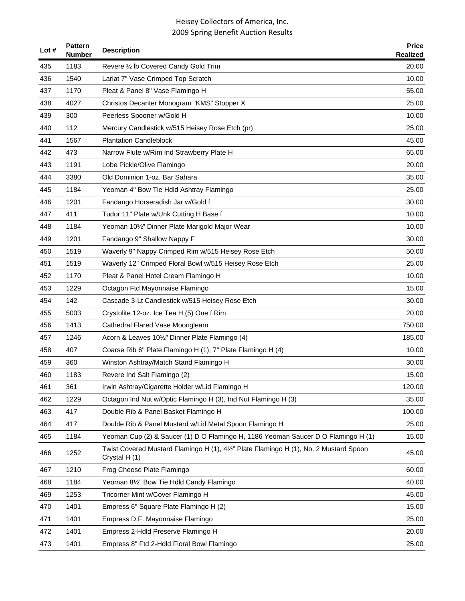| Lot # | <b>Pattern</b><br><b>Number</b> | <b>Description</b>                                                                                  | <b>Price</b><br><b>Realized</b> |
|-------|---------------------------------|-----------------------------------------------------------------------------------------------------|---------------------------------|
| 435   | 1183                            | Revere 1/2 lb Covered Candy Gold Trim                                                               | 20.00                           |
| 436   | 1540                            | Lariat 7" Vase Crimped Top Scratch                                                                  | 10.00                           |
| 437   | 1170                            | Pleat & Panel 8" Vase Flamingo H                                                                    | 55.00                           |
| 438   | 4027                            | Christos Decanter Monogram "KMS" Stopper X                                                          | 25.00                           |
| 439   | 300                             | Peerless Spooner w/Gold H                                                                           | 10.00                           |
| 440   | 112                             | Mercury Candlestick w/515 Heisey Rose Etch (pr)                                                     | 25.00                           |
| 441   | 1567                            | <b>Plantation Candleblock</b>                                                                       | 45.00                           |
| 442   | 473                             | Narrow Flute w/Rim Ind Strawberry Plate H                                                           | 65.00                           |
| 443   | 1191                            | Lobe Pickle/Olive Flamingo                                                                          | 20.00                           |
| 444   | 3380                            | Old Dominion 1-oz. Bar Sahara                                                                       | 35.00                           |
| 445   | 1184                            | Yeoman 4" Bow Tie Hdld Ashtray Flamingo                                                             | 25.00                           |
| 446   | 1201                            | Fandango Horseradish Jar w/Gold f                                                                   | 30.00                           |
| 447   | 411                             | Tudor 11" Plate w/Unk Cutting H Base f                                                              | 10.00                           |
| 448   | 1184                            | Yeoman 101/2" Dinner Plate Marigold Major Wear                                                      | 10.00                           |
| 449   | 1201                            | Fandango 9" Shallow Nappy F                                                                         | 30.00                           |
| 450   | 1519                            | Waverly 9" Nappy Crimped Rim w/515 Heisey Rose Etch                                                 | 50.00                           |
| 451   | 1519                            | Waverly 12" Crimped Floral Bowl w/515 Heisey Rose Etch                                              | 25.00                           |
| 452   | 1170                            | Pleat & Panel Hotel Cream Flamingo H                                                                | 10.00                           |
| 453   | 1229                            | Octagon Ftd Mayonnaise Flamingo                                                                     | 15.00                           |
| 454   | 142                             | Cascade 3-Lt Candlestick w/515 Heisey Rose Etch                                                     | 30.00                           |
| 455   | 5003                            | Crystolite 12-oz. Ice Tea H (5) One f Rim                                                           | 20.00                           |
| 456   | 1413                            | Cathedral Flared Vase Moongleam                                                                     | 750.00                          |
| 457   | 1246                            | Acorn & Leaves 101/2" Dinner Plate Flamingo (4)                                                     | 185.00                          |
| 458   | 407                             | Coarse Rib 6" Plate Flamingo H (1), 7" Plate Flamingo H (4)                                         | 10.00                           |
| 459   | 360                             | Winston Ashtray/Match Stand Flamingo H                                                              | 30.00                           |
| 460   | 1183                            | Revere Ind Salt Flamingo (2)                                                                        | 15.00                           |
| 461   | 361                             | Irwin Ashtray/Cigarette Holder w/Lid Flamingo H                                                     | 120.00                          |
| 462   | 1229                            | Octagon Ind Nut w/Optic Flamingo H (3), Ind Nut Flamingo H (3)                                      | 35.00                           |
| 463   | 417                             | Double Rib & Panel Basket Flamingo H                                                                | 100.00                          |
| 464   | 417                             | Double Rib & Panel Mustard w/Lid Metal Spoon Flamingo H                                             | 25.00                           |
| 465   | 1184                            | Yeoman Cup (2) & Saucer (1) D O Flamingo H, 1186 Yeoman Saucer D O Flamingo H (1)                   | 15.00                           |
| 466   | 1252                            | Twist Covered Mustard Flamingo H (1), 4½" Plate Flamingo H (1), No. 2 Mustard Spoon<br>Crystal H(1) | 45.00                           |
| 467   | 1210                            | Frog Cheese Plate Flamingo                                                                          | 60.00                           |
| 468   | 1184                            | Yeoman 81/2" Bow Tie Hdld Candy Flamingo                                                            | 40.00                           |
| 469   | 1253                            | Tricorner Mint w/Cover Flamingo H                                                                   | 45.00                           |
| 470   | 1401                            | Empress 6" Square Plate Flamingo H (2)                                                              | 15.00                           |
| 471   | 1401                            | Empress D.F. Mayonnaise Flamingo                                                                    | 25.00                           |
| 472   | 1401                            | Empress 2-Hdld Preserve Flamingo H                                                                  | 20.00                           |
| 473   | 1401                            | Empress 8" Ftd 2-Hdld Floral Bowl Flamingo                                                          | 25.00                           |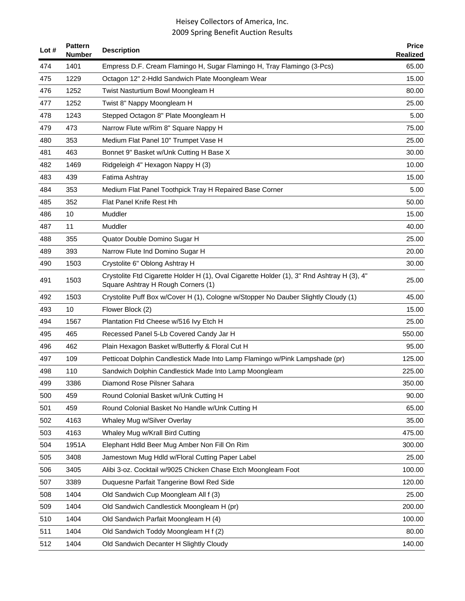| Lot $#$ | <b>Pattern</b><br><b>Number</b> | <b>Description</b>                                                                                                               | <b>Price</b><br><b>Realized</b> |
|---------|---------------------------------|----------------------------------------------------------------------------------------------------------------------------------|---------------------------------|
| 474     | 1401                            | Empress D.F. Cream Flamingo H, Sugar Flamingo H, Tray Flamingo (3-Pcs)                                                           | 65.00                           |
| 475     | 1229                            | Octagon 12" 2-Hdld Sandwich Plate Moongleam Wear                                                                                 | 15.00                           |
| 476     | 1252                            | Twist Nasturtium Bowl Moongleam H                                                                                                | 80.00                           |
| 477     | 1252                            | Twist 8" Nappy Moongleam H                                                                                                       | 25.00                           |
| 478     | 1243                            | Stepped Octagon 8" Plate Moongleam H                                                                                             | 5.00                            |
| 479     | 473                             | Narrow Flute w/Rim 8" Square Nappy H                                                                                             | 75.00                           |
| 480     | 353                             | Medium Flat Panel 10" Trumpet Vase H                                                                                             | 25.00                           |
| 481     | 463                             | Bonnet 9" Basket w/Unk Cutting H Base X                                                                                          | 30.00                           |
| 482     | 1469                            | Ridgeleigh 4" Hexagon Nappy H (3)                                                                                                | 10.00                           |
| 483     | 439                             | Fatima Ashtray                                                                                                                   | 15.00                           |
| 484     | 353                             | Medium Flat Panel Toothpick Tray H Repaired Base Corner                                                                          | 5.00                            |
| 485     | 352                             | Flat Panel Knife Rest Hh                                                                                                         | 50.00                           |
| 486     | 10                              | Muddler                                                                                                                          | 15.00                           |
| 487     | 11                              | Muddler                                                                                                                          | 40.00                           |
| 488     | 355                             | Quator Double Domino Sugar H                                                                                                     | 25.00                           |
| 489     | 393                             | Narrow Flute Ind Domino Sugar H                                                                                                  | 20.00                           |
| 490     | 1503                            | Crystolite 6" Oblong Ashtray H                                                                                                   | 30.00                           |
| 491     | 1503                            | Crystolite Ftd Cigarette Holder H (1), Oval Cigarette Holder (1), 3" Rnd Ashtray H (3), 4"<br>Square Ashtray H Rough Corners (1) | 25.00                           |
| 492     | 1503                            | Crystolite Puff Box w/Cover H (1), Cologne w/Stopper No Dauber Slightly Cloudy (1)                                               | 45.00                           |
| 493     | 10                              | Flower Block (2)                                                                                                                 | 15.00                           |
| 494     | 1567                            | Plantation Ftd Cheese w/516 Ivy Etch H                                                                                           | 25.00                           |
| 495     | 465                             | Recessed Panel 5-Lb Covered Candy Jar H                                                                                          | 550.00                          |
| 496     | 462                             | Plain Hexagon Basket w/Butterfly & Floral Cut H                                                                                  | 95.00                           |
| 497     | 109                             | Petticoat Dolphin Candlestick Made Into Lamp Flamingo w/Pink Lampshade (pr)                                                      | 125.00                          |
| 498     | 110                             | Sandwich Dolphin Candlestick Made Into Lamp Moongleam                                                                            | 225.00                          |
| 499     | 3386                            | Diamond Rose Pilsner Sahara                                                                                                      | 350.00                          |
| 500     | 459                             | Round Colonial Basket w/Unk Cutting H                                                                                            | 90.00                           |
| 501     | 459                             | Round Colonial Basket No Handle w/Unk Cutting H                                                                                  | 65.00                           |
| 502     | 4163                            | Whaley Mug w/Silver Overlay                                                                                                      | 35.00                           |
| 503     | 4163                            | Whaley Mug w/Krall Bird Cutting                                                                                                  | 475.00                          |
| 504     | 1951A                           | Elephant Hdld Beer Mug Amber Non Fill On Rim                                                                                     | 300.00                          |
| 505     | 3408                            | Jamestown Mug Hdld w/Floral Cutting Paper Label                                                                                  | 25.00                           |
| 506     | 3405                            | Alibi 3-oz. Cocktail w/9025 Chicken Chase Etch Moongleam Foot                                                                    | 100.00                          |
| 507     | 3389                            | Duquesne Parfait Tangerine Bowl Red Side                                                                                         | 120.00                          |
| 508     | 1404                            | Old Sandwich Cup Moongleam All f (3)                                                                                             | 25.00                           |
| 509     | 1404                            | Old Sandwich Candlestick Moongleam H (pr)                                                                                        | 200.00                          |
| 510     | 1404                            | Old Sandwich Parfait Moongleam H (4)                                                                                             | 100.00                          |
| 511     | 1404                            | Old Sandwich Toddy Moongleam H f (2)                                                                                             | 80.00                           |
| 512     | 1404                            | Old Sandwich Decanter H Slightly Cloudy                                                                                          | 140.00                          |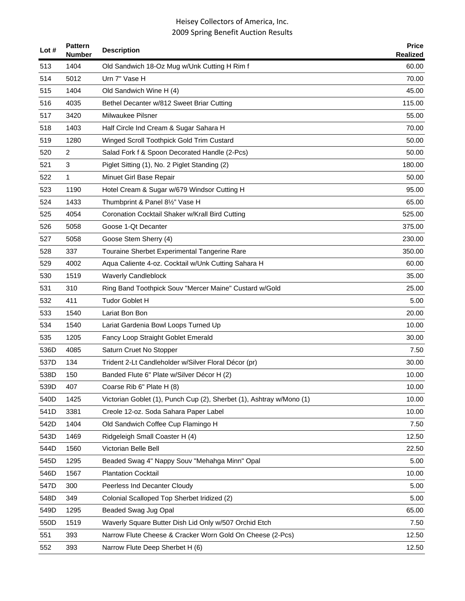| Lot $#$ | <b>Pattern</b><br><b>Number</b> | <b>Description</b>                                                   | <b>Price</b><br><b>Realized</b> |
|---------|---------------------------------|----------------------------------------------------------------------|---------------------------------|
| 513     | 1404                            | Old Sandwich 18-Oz Mug w/Unk Cutting H Rim f                         | 60.00                           |
| 514     | 5012                            | Urn 7" Vase H                                                        | 70.00                           |
| 515     | 1404                            | Old Sandwich Wine H (4)                                              | 45.00                           |
| 516     | 4035                            | Bethel Decanter w/812 Sweet Briar Cutting                            | 115.00                          |
| 517     | 3420                            | Milwaukee Pilsner                                                    | 55.00                           |
| 518     | 1403                            | Half Circle Ind Cream & Sugar Sahara H                               | 70.00                           |
| 519     | 1280                            | Winged Scroll Toothpick Gold Trim Custard                            | 50.00                           |
| 520     | 2                               | Salad Fork f & Spoon Decorated Handle (2-Pcs)                        | 50.00                           |
| 521     | 3                               | Piglet Sitting (1), No. 2 Piglet Standing (2)                        | 180.00                          |
| 522     | 1                               | Minuet Girl Base Repair                                              | 50.00                           |
| 523     | 1190                            | Hotel Cream & Sugar w/679 Windsor Cutting H                          | 95.00                           |
| 524     | 1433                            | Thumbprint & Panel 81/2" Vase H                                      | 65.00                           |
| 525     | 4054                            | Coronation Cocktail Shaker w/Krall Bird Cutting                      | 525.00                          |
| 526     | 5058                            | Goose 1-Qt Decanter                                                  | 375.00                          |
| 527     | 5058                            | Goose Stem Sherry (4)                                                | 230.00                          |
| 528     | 337                             | Touraine Sherbet Experimental Tangerine Rare                         | 350.00                          |
| 529     | 4002                            | Aqua Caliente 4-oz. Cocktail w/Unk Cutting Sahara H                  | 60.00                           |
| 530     | 1519                            | <b>Waverly Candleblock</b>                                           | 35.00                           |
| 531     | 310                             | Ring Band Toothpick Souv "Mercer Maine" Custard w/Gold               | 25.00                           |
| 532     | 411                             | <b>Tudor Goblet H</b>                                                | 5.00                            |
| 533     | 1540                            | Lariat Bon Bon                                                       | 20.00                           |
| 534     | 1540                            | Lariat Gardenia Bowl Loops Turned Up                                 | 10.00                           |
| 535     | 1205                            | Fancy Loop Straight Goblet Emerald                                   | 30.00                           |
| 536D    | 4085                            | Saturn Cruet No Stopper                                              | 7.50                            |
| 537D    | 134                             | Trident 2-Lt Candleholder w/Silver Floral Décor (pr)                 | 30.00                           |
| 538D    | 150                             | Banded Flute 6" Plate w/Silver Décor H (2)                           | 10.00                           |
| 539D    | 407                             | Coarse Rib 6" Plate H (8)                                            | 10.00                           |
| 540D    | 1425                            | Victorian Goblet (1), Punch Cup (2), Sherbet (1), Ashtray w/Mono (1) | 10.00                           |
| 541D    | 3381                            | Creole 12-oz. Soda Sahara Paper Label                                | 10.00                           |
| 542D    | 1404                            | Old Sandwich Coffee Cup Flamingo H                                   | 7.50                            |
| 543D    | 1469                            | Ridgeleigh Small Coaster H (4)                                       | 12.50                           |
| 544D    | 1560                            | Victorian Belle Bell                                                 | 22.50                           |
| 545D    | 1295                            | Beaded Swag 4" Nappy Souv "Mehahga Minn" Opal                        | 5.00                            |
| 546D    | 1567                            | <b>Plantation Cocktail</b>                                           | 10.00                           |
| 547D    | 300                             | Peerless Ind Decanter Cloudy                                         | 5.00                            |
| 548D    | 349                             | Colonial Scalloped Top Sherbet Iridized (2)                          | 5.00                            |
| 549D    | 1295                            | Beaded Swag Jug Opal                                                 | 65.00                           |
| 550D    | 1519                            | Waverly Square Butter Dish Lid Only w/507 Orchid Etch                | 7.50                            |
| 551     | 393                             | Narrow Flute Cheese & Cracker Worn Gold On Cheese (2-Pcs)            | 12.50                           |
| 552     | 393                             | Narrow Flute Deep Sherbet H (6)                                      | 12.50                           |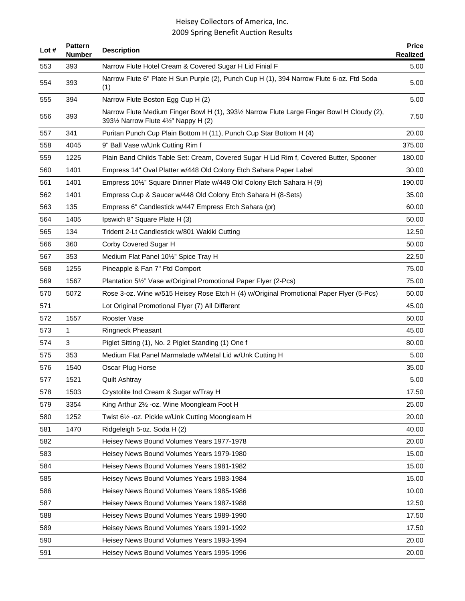| Lot # | <b>Pattern</b><br><b>Number</b> | <b>Description</b>                                                                                                                  | <b>Price</b><br><b>Realized</b> |
|-------|---------------------------------|-------------------------------------------------------------------------------------------------------------------------------------|---------------------------------|
| 553   | 393                             | Narrow Flute Hotel Cream & Covered Sugar H Lid Finial F                                                                             | 5.00                            |
| 554   | 393                             | Narrow Flute 6" Plate H Sun Purple (2), Punch Cup H (1), 394 Narrow Flute 6-oz. Ftd Soda<br>(1)                                     | 5.00                            |
| 555   | 394                             | Narrow Flute Boston Egg Cup H (2)                                                                                                   | 5.00                            |
| 556   | 393                             | Narrow Flute Medium Finger Bowl H (1), 3931/2 Narrow Flute Large Finger Bowl H Cloudy (2),<br>3931/2 Narrow Flute 41/2" Nappy H (2) | 7.50                            |
| 557   | 341                             | Puritan Punch Cup Plain Bottom H (11), Punch Cup Star Bottom H (4)                                                                  | 20.00                           |
| 558   | 4045                            | 9" Ball Vase w/Unk Cutting Rim f                                                                                                    | 375.00                          |
| 559   | 1225                            | Plain Band Childs Table Set: Cream, Covered Sugar H Lid Rim f, Covered Butter, Spooner                                              | 180.00                          |
| 560   | 1401                            | Empress 14" Oval Platter w/448 Old Colony Etch Sahara Paper Label                                                                   | 30.00                           |
| 561   | 1401                            | Empress 10 <sup>1</sup> / <sub>2</sub> " Square Dinner Plate w/448 Old Colony Etch Sahara H (9)                                     | 190.00                          |
| 562   | 1401                            | Empress Cup & Saucer w/448 Old Colony Etch Sahara H (8-Sets)                                                                        | 35.00                           |
| 563   | 135                             | Empress 6" Candlestick w/447 Empress Etch Sahara (pr)                                                                               | 60.00                           |
| 564   | 1405                            | Ipswich 8" Square Plate H (3)                                                                                                       | 50.00                           |
| 565   | 134                             | Trident 2-Lt Candlestick w/801 Wakiki Cutting                                                                                       | 12.50                           |
| 566   | 360                             | Corby Covered Sugar H                                                                                                               | 50.00                           |
| 567   | 353                             | Medium Flat Panel 10½" Spice Tray H                                                                                                 | 22.50                           |
| 568   | 1255                            | Pineapple & Fan 7" Ftd Comport                                                                                                      | 75.00                           |
| 569   | 1567                            | Plantation 51/2" Vase w/Original Promotional Paper Flyer (2-Pcs)                                                                    | 75.00                           |
| 570   | 5072                            | Rose 3-oz. Wine w/515 Heisey Rose Etch H (4) w/Original Promotional Paper Flyer (5-Pcs)                                             | 50.00                           |
| 571   |                                 | Lot Original Promotional Flyer (7) All Different                                                                                    | 45.00                           |
| 572   | 1557                            | Rooster Vase                                                                                                                        | 50.00                           |
| 573   | 1                               | Ringneck Pheasant                                                                                                                   | 45.00                           |
| 574   | 3                               | Piglet Sitting (1), No. 2 Piglet Standing (1) One f                                                                                 | 80.00                           |
| 575   | 353                             | Medium Flat Panel Marmalade w/Metal Lid w/Unk Cutting H                                                                             | 5.00                            |
| 576   | 1540                            | Oscar Plug Horse                                                                                                                    | 35.00                           |
| 577   | 1521                            | Quilt Ashtrav                                                                                                                       | 5.00                            |
| 578   | 1503                            | Crystolite Ind Cream & Sugar w/Tray H                                                                                               | 17.50                           |
| 579   | 3354                            | King Arthur 21/2 - oz. Wine Moongleam Foot H                                                                                        | 25.00                           |
| 580   | 1252                            | Twist 61/2 - oz. Pickle w/Unk Cutting Moongleam H                                                                                   | 20.00                           |
| 581   | 1470                            | Ridgeleigh 5-oz. Soda H (2)                                                                                                         | 40.00                           |
| 582   |                                 | Heisey News Bound Volumes Years 1977-1978                                                                                           | 20.00                           |
| 583   |                                 | Heisey News Bound Volumes Years 1979-1980                                                                                           | 15.00                           |
| 584   |                                 | Heisey News Bound Volumes Years 1981-1982                                                                                           | 15.00                           |
| 585   |                                 | Heisey News Bound Volumes Years 1983-1984                                                                                           | 15.00                           |
| 586   |                                 | Heisey News Bound Volumes Years 1985-1986                                                                                           | 10.00                           |
| 587   |                                 | Heisey News Bound Volumes Years 1987-1988                                                                                           | 12.50                           |
| 588   |                                 | Heisey News Bound Volumes Years 1989-1990                                                                                           | 17.50                           |
| 589   |                                 | Heisey News Bound Volumes Years 1991-1992                                                                                           | 17.50                           |
| 590   |                                 | Heisey News Bound Volumes Years 1993-1994                                                                                           | 20.00                           |
| 591   |                                 | Heisey News Bound Volumes Years 1995-1996                                                                                           | 20.00                           |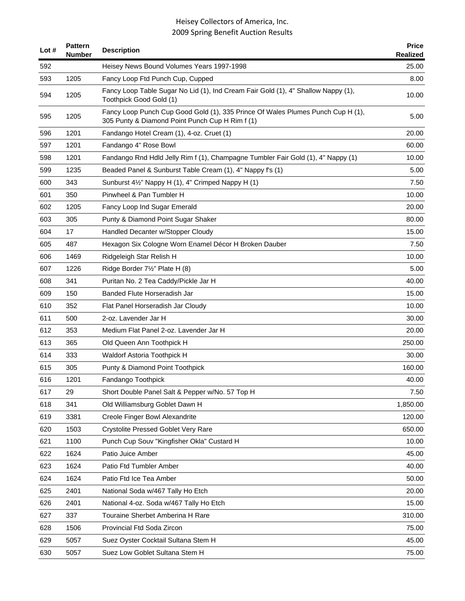| Lot # | <b>Pattern</b><br>Number | <b>Description</b>                                                                                                                 | <b>Price</b><br>Realized |
|-------|--------------------------|------------------------------------------------------------------------------------------------------------------------------------|--------------------------|
| 592   |                          | Heisey News Bound Volumes Years 1997-1998                                                                                          | 25.00                    |
| 593   | 1205                     | Fancy Loop Ftd Punch Cup, Cupped                                                                                                   | 8.00                     |
| 594   | 1205                     | Fancy Loop Table Sugar No Lid (1), Ind Cream Fair Gold (1), 4" Shallow Nappy (1),<br>Toothpick Good Gold (1)                       | 10.00                    |
| 595   | 1205                     | Fancy Loop Punch Cup Good Gold (1), 335 Prince Of Wales Plumes Punch Cup H (1),<br>305 Punty & Diamond Point Punch Cup H Rim f (1) | 5.00                     |
| 596   | 1201                     | Fandango Hotel Cream (1), 4-oz. Cruet (1)                                                                                          | 20.00                    |
| 597   | 1201                     | Fandango 4" Rose Bowl                                                                                                              | 60.00                    |
| 598   | 1201                     | Fandango Rnd Hdld Jelly Rim f (1), Champagne Tumbler Fair Gold (1), 4" Nappy (1)                                                   | 10.00                    |
| 599   | 1235                     | Beaded Panel & Sunburst Table Cream (1), 4" Nappy f's (1)                                                                          | 5.00                     |
| 600   | 343                      | Sunburst 4½" Nappy H (1), 4" Crimped Nappy H (1)                                                                                   | 7.50                     |
| 601   | 350                      | Pinwheel & Pan Tumbler H                                                                                                           | 10.00                    |
| 602   | 1205                     | Fancy Loop Ind Sugar Emerald                                                                                                       | 20.00                    |
| 603   | 305                      | Punty & Diamond Point Sugar Shaker                                                                                                 | 80.00                    |
| 604   | 17                       | Handled Decanter w/Stopper Cloudy                                                                                                  | 15.00                    |
| 605   | 487                      | Hexagon Six Cologne Worn Enamel Décor H Broken Dauber                                                                              | 7.50                     |
| 606   | 1469                     | Ridgeleigh Star Relish H                                                                                                           | 10.00                    |
| 607   | 1226                     | Ridge Border 7½" Plate H (8)                                                                                                       | 5.00                     |
| 608   | 341                      | Puritan No. 2 Tea Caddy/Pickle Jar H                                                                                               | 40.00                    |
| 609   | 150                      | Banded Flute Horseradish Jar                                                                                                       | 15.00                    |
| 610   | 352                      | Flat Panel Horseradish Jar Cloudy                                                                                                  | 10.00                    |
| 611   | 500                      | 2-oz. Lavender Jar H                                                                                                               | 30.00                    |
| 612   | 353                      | Medium Flat Panel 2-oz. Lavender Jar H.                                                                                            | 20.00                    |
| 613   | 365                      | Old Queen Ann Toothpick H                                                                                                          | 250.00                   |
| 614   | 333                      | Waldorf Astoria Toothpick H                                                                                                        | 30.00                    |
| 615   | 305                      | Punty & Diamond Point Toothpick                                                                                                    | 160.00                   |
| 616   | 1201                     | Fandango Toothpick                                                                                                                 | 40.00                    |
| 617   | 29                       | Short Double Panel Salt & Pepper w/No. 57 Top H                                                                                    | 7.50                     |
| 618   | 341                      | Old Williamsburg Goblet Dawn H                                                                                                     | 1,850.00                 |
| 619   | 3381                     | Creole Finger Bowl Alexandrite                                                                                                     | 120.00                   |
| 620   | 1503                     | <b>Crystolite Pressed Goblet Very Rare</b>                                                                                         | 650.00                   |
| 621   | 1100                     | Punch Cup Souv "Kingfisher Okla" Custard H                                                                                         | 10.00                    |
| 622   | 1624                     | Patio Juice Amber                                                                                                                  | 45.00                    |
| 623   | 1624                     | Patio Ftd Tumbler Amber                                                                                                            | 40.00                    |
| 624   | 1624                     | Patio Ftd Ice Tea Amber                                                                                                            | 50.00                    |
| 625   | 2401                     | National Soda w/467 Tally Ho Etch                                                                                                  | 20.00                    |
| 626   | 2401                     | National 4-oz. Soda w/467 Tally Ho Etch                                                                                            | 15.00                    |
| 627   | 337                      | Touraine Sherbet Amberina H Rare                                                                                                   | 310.00                   |
| 628   | 1506                     | Provincial Ftd Soda Zircon                                                                                                         | 75.00                    |
| 629   | 5057                     | Suez Oyster Cocktail Sultana Stem H                                                                                                | 45.00                    |
| 630   | 5057                     | Suez Low Goblet Sultana Stem H                                                                                                     | 75.00                    |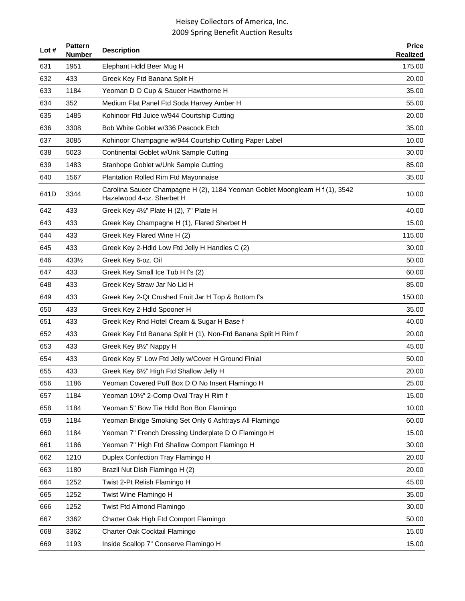| Lot $#$ | <b>Pattern</b><br><b>Number</b> | <b>Description</b>                                                                                       | <b>Price</b><br><b>Realized</b> |
|---------|---------------------------------|----------------------------------------------------------------------------------------------------------|---------------------------------|
| 631     | 1951                            | Elephant Hdld Beer Mug H                                                                                 | 175.00                          |
| 632     | 433                             | Greek Key Ftd Banana Split H                                                                             | 20.00                           |
| 633     | 1184                            | Yeoman D O Cup & Saucer Hawthorne H                                                                      | 35.00                           |
| 634     | 352                             | Medium Flat Panel Ftd Soda Harvey Amber H                                                                | 55.00                           |
| 635     | 1485                            | Kohinoor Ftd Juice w/944 Courtship Cutting                                                               | 20.00                           |
| 636     | 3308                            | Bob White Goblet w/336 Peacock Etch                                                                      | 35.00                           |
| 637     | 3085                            | Kohinoor Champagne w/944 Courtship Cutting Paper Label                                                   | 10.00                           |
| 638     | 5023                            | Continental Goblet w/Unk Sample Cutting                                                                  | 30.00                           |
| 639     | 1483                            | Stanhope Goblet w/Unk Sample Cutting                                                                     | 85.00                           |
| 640     | 1567                            | <b>Plantation Rolled Rim Ftd Mayonnaise</b>                                                              | 35.00                           |
| 641D    | 3344                            | Carolina Saucer Champagne H (2), 1184 Yeoman Goblet Moongleam H f (1), 3542<br>Hazelwood 4-oz. Sherbet H | 10.00                           |
| 642     | 433                             | Greek Key 41/2" Plate H (2), 7" Plate H                                                                  | 40.00                           |
| 643     | 433                             | Greek Key Champagne H (1), Flared Sherbet H                                                              | 15.00                           |
| 644     | 433                             | Greek Key Flared Wine H (2)                                                                              | 115.00                          |
| 645     | 433                             | Greek Key 2-Hdld Low Ftd Jelly H Handles C (2)                                                           | 30.00                           |
| 646     | 4331/2                          | Greek Key 6-oz. Oil                                                                                      | 50.00                           |
| 647     | 433                             | Greek Key Small Ice Tub H f's (2)                                                                        | 60.00                           |
| 648     | 433                             | Greek Key Straw Jar No Lid H                                                                             | 85.00                           |
| 649     | 433                             | Greek Key 2-Qt Crushed Fruit Jar H Top & Bottom f's                                                      | 150.00                          |
| 650     | 433                             | Greek Key 2-Hdld Spooner H                                                                               | 35.00                           |
| 651     | 433                             | Greek Key Rnd Hotel Cream & Sugar H Base f                                                               | 40.00                           |
| 652     | 433                             | Greek Key Ftd Banana Split H (1), Non-Ftd Banana Split H Rim f                                           | 20.00                           |
| 653     | 433                             | Greek Key 81/2" Nappy H                                                                                  | 45.00                           |
| 654     | 433                             | Greek Key 5" Low Ftd Jelly w/Cover H Ground Finial                                                       | 50.00                           |
| 655     | 433                             | Greek Key 61/2" High Ftd Shallow Jelly H                                                                 | 20.00                           |
| 656     | 1186                            | Yeoman Covered Puff Box D O No Insert Flamingo H                                                         | 25.00                           |
| 657     | 1184                            | Yeoman 101/2" 2-Comp Oval Tray H Rim f                                                                   | 15.00                           |
| 658     | 1184                            | Yeoman 5" Bow Tie Hdld Bon Bon Flamingo                                                                  | 10.00                           |
| 659     | 1184                            | Yeoman Bridge Smoking Set Only 6 Ashtrays All Flamingo                                                   | 60.00                           |
| 660     | 1184                            | Yeoman 7" French Dressing Underplate D O Flamingo H                                                      | 15.00                           |
| 661     | 1186                            | Yeoman 7" High Ftd Shallow Comport Flamingo H                                                            | 30.00                           |
| 662     | 1210                            | Duplex Confection Tray Flamingo H                                                                        | 20.00                           |
| 663     | 1180                            | Brazil Nut Dish Flamingo H (2)                                                                           | 20.00                           |
| 664     | 1252                            | Twist 2-Pt Relish Flamingo H                                                                             | 45.00                           |
| 665     | 1252                            | Twist Wine Flamingo H                                                                                    | 35.00                           |
| 666     | 1252                            | Twist Ftd Almond Flamingo                                                                                | 30.00                           |
| 667     | 3362                            | Charter Oak High Ftd Comport Flamingo                                                                    | 50.00                           |
| 668     | 3362                            | Charter Oak Cocktail Flamingo                                                                            | 15.00                           |
| 669     | 1193                            | Inside Scallop 7" Conserve Flamingo H                                                                    | 15.00                           |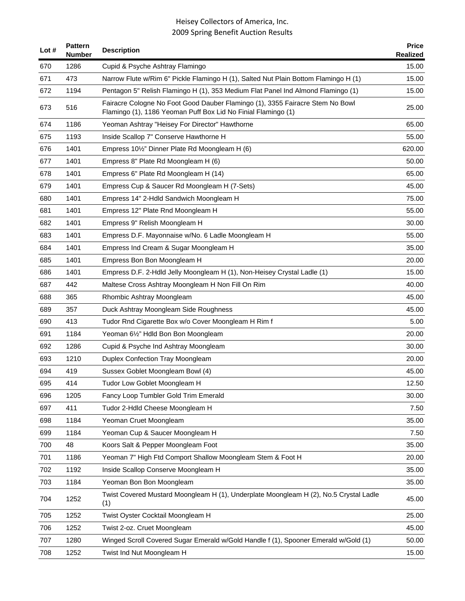| Lot # | <b>Pattern</b><br><b>Number</b> | <b>Description</b>                                                                                                                             | <b>Price</b><br><b>Realized</b> |
|-------|---------------------------------|------------------------------------------------------------------------------------------------------------------------------------------------|---------------------------------|
| 670   | 1286                            | Cupid & Psyche Ashtray Flamingo                                                                                                                | 15.00                           |
| 671   | 473                             | Narrow Flute w/Rim 6" Pickle Flamingo H (1), Salted Nut Plain Bottom Flamingo H (1)                                                            | 15.00                           |
| 672   | 1194                            | Pentagon 5" Relish Flamingo H (1), 353 Medium Flat Panel Ind Almond Flamingo (1)                                                               | 15.00                           |
| 673   | 516                             | Fairacre Cologne No Foot Good Dauber Flamingo (1), 3355 Fairacre Stem No Bowl<br>Flamingo (1), 1186 Yeoman Puff Box Lid No Finial Flamingo (1) | 25.00                           |
| 674   | 1186                            | Yeoman Ashtray "Heisey For Director" Hawthorne                                                                                                 | 65.00                           |
| 675   | 1193                            | Inside Scallop 7" Conserve Hawthorne H                                                                                                         | 55.00                           |
| 676   | 1401                            | Empress 101/2" Dinner Plate Rd Moongleam H (6)                                                                                                 | 620.00                          |
| 677   | 1401                            | Empress 8" Plate Rd Moongleam H (6)                                                                                                            | 50.00                           |
| 678   | 1401                            | Empress 6" Plate Rd Moongleam H (14)                                                                                                           | 65.00                           |
| 679   | 1401                            | Empress Cup & Saucer Rd Moongleam H (7-Sets)                                                                                                   | 45.00                           |
| 680   | 1401                            | Empress 14" 2-Hdld Sandwich Moongleam H                                                                                                        | 75.00                           |
| 681   | 1401                            | Empress 12" Plate Rnd Moongleam H                                                                                                              | 55.00                           |
| 682   | 1401                            | Empress 9" Relish Moongleam H                                                                                                                  | 30.00                           |
| 683   | 1401                            | Empress D.F. Mayonnaise w/No. 6 Ladle Moongleam H                                                                                              | 55.00                           |
| 684   | 1401                            | Empress Ind Cream & Sugar Moongleam H                                                                                                          | 35.00                           |
| 685   | 1401                            | Empress Bon Bon Moongleam H                                                                                                                    | 20.00                           |
| 686   | 1401                            | Empress D.F. 2-Hdld Jelly Moongleam H (1), Non-Heisey Crystal Ladle (1)                                                                        | 15.00                           |
| 687   | 442                             | Maltese Cross Ashtray Moongleam H Non Fill On Rim                                                                                              | 40.00                           |
| 688   | 365                             | Rhombic Ashtray Moongleam                                                                                                                      | 45.00                           |
| 689   | 357                             | Duck Ashtray Moongleam Side Roughness                                                                                                          | 45.00                           |
| 690   | 413                             | Tudor Rnd Cigarette Box w/o Cover Moongleam H Rim f                                                                                            | 5.00                            |
| 691   | 1184                            | Yeoman 61/2" Hdld Bon Bon Moongleam                                                                                                            | 20.00                           |
| 692   | 1286                            | Cupid & Psyche Ind Ashtray Moongleam                                                                                                           | 30.00                           |
| 693   | 1210                            | Duplex Confection Tray Moongleam                                                                                                               | 20.00                           |
| 694   | 419                             | Sussex Goblet Moongleam Bowl (4)                                                                                                               | 45.00                           |
| 695   | 414                             | Tudor Low Goblet Moongleam H                                                                                                                   | 12.50                           |
| 696   | 1205                            | Fancy Loop Tumbler Gold Trim Emerald                                                                                                           | 30.00                           |
| 697   | 411                             | Tudor 2-Hdld Cheese Moongleam H                                                                                                                | 7.50                            |
| 698   | 1184                            | Yeoman Cruet Moongleam                                                                                                                         | 35.00                           |
| 699   | 1184                            | Yeoman Cup & Saucer Moongleam H                                                                                                                | 7.50                            |
| 700   | 48                              | Koors Salt & Pepper Moongleam Foot                                                                                                             | 35.00                           |
| 701   | 1186                            | Yeoman 7" High Ftd Comport Shallow Moongleam Stem & Foot H                                                                                     | 20.00                           |
| 702   | 1192                            | Inside Scallop Conserve Moongleam H                                                                                                            | 35.00                           |
| 703   | 1184                            | Yeoman Bon Bon Moongleam                                                                                                                       | 35.00                           |
| 704   | 1252                            | Twist Covered Mustard Moongleam H (1), Underplate Moongleam H (2), No.5 Crystal Ladle<br>(1)                                                   | 45.00                           |
| 705   | 1252                            | Twist Oyster Cocktail Moongleam H                                                                                                              | 25.00                           |
| 706   | 1252                            | Twist 2-oz. Cruet Moongleam                                                                                                                    | 45.00                           |
| 707   | 1280                            | Winged Scroll Covered Sugar Emerald w/Gold Handle f (1), Spooner Emerald w/Gold (1)                                                            | 50.00                           |
| 708   | 1252                            | Twist Ind Nut Moongleam H                                                                                                                      | 15.00                           |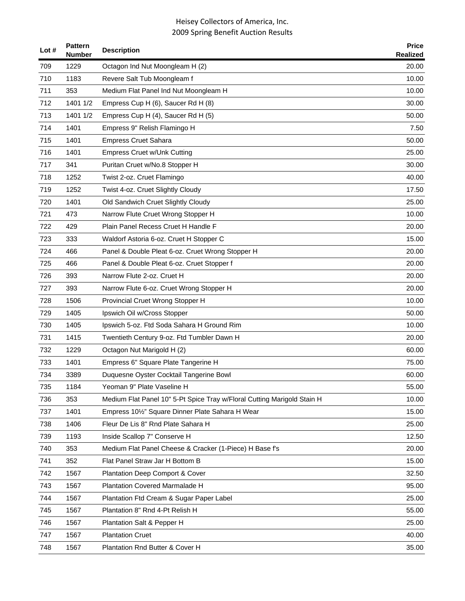| Lot# | <b>Pattern</b><br><b>Number</b> | <b>Description</b>                                                         | <b>Price</b><br><b>Realized</b> |
|------|---------------------------------|----------------------------------------------------------------------------|---------------------------------|
| 709  | 1229                            | Octagon Ind Nut Moongleam H (2)                                            | 20.00                           |
| 710  | 1183                            | Revere Salt Tub Moongleam f                                                | 10.00                           |
| 711  | 353                             | Medium Flat Panel Ind Nut Moongleam H                                      | 10.00                           |
| 712  | 1401 1/2                        | Empress Cup H (6), Saucer Rd H (8)                                         | 30.00                           |
| 713  | 1401 1/2                        | Empress Cup H (4), Saucer Rd H (5)                                         | 50.00                           |
| 714  | 1401                            | Empress 9" Relish Flamingo H                                               | 7.50                            |
| 715  | 1401                            | <b>Empress Cruet Sahara</b>                                                | 50.00                           |
| 716  | 1401                            | <b>Empress Cruet w/Unk Cutting</b>                                         | 25.00                           |
| 717  | 341                             | Puritan Cruet w/No.8 Stopper H                                             | 30.00                           |
| 718  | 1252                            | Twist 2-oz. Cruet Flamingo                                                 | 40.00                           |
| 719  | 1252                            | Twist 4-oz. Cruet Slightly Cloudy                                          | 17.50                           |
| 720  | 1401                            | Old Sandwich Cruet Slightly Cloudy                                         | 25.00                           |
| 721  | 473                             | Narrow Flute Cruet Wrong Stopper H                                         | 10.00                           |
| 722  | 429                             | Plain Panel Recess Cruet H Handle F                                        | 20.00                           |
| 723  | 333                             | Waldorf Astoria 6-oz. Cruet H Stopper C                                    | 15.00                           |
| 724  | 466                             | Panel & Double Pleat 6-oz. Cruet Wrong Stopper H                           | 20.00                           |
| 725  | 466                             | Panel & Double Pleat 6-oz. Cruet Stopper f                                 | 20.00                           |
| 726  | 393                             | Narrow Flute 2-oz. Cruet H                                                 | 20.00                           |
| 727  | 393                             | Narrow Flute 6-oz. Cruet Wrong Stopper H                                   | 20.00                           |
| 728  | 1506                            | Provincial Cruet Wrong Stopper H                                           | 10.00                           |
| 729  | 1405                            | Ipswich Oil w/Cross Stopper                                                | 50.00                           |
| 730  | 1405                            | Ipswich 5-oz. Ftd Soda Sahara H Ground Rim                                 | 10.00                           |
| 731  | 1415                            | Twentieth Century 9-oz. Ftd Tumbler Dawn H                                 | 20.00                           |
| 732  | 1229                            | Octagon Nut Marigold H (2)                                                 | 60.00                           |
| 733  | 1401                            | Empress 6" Square Plate Tangerine H                                        | 75.00                           |
| 734  | 3389                            | Duquesne Oyster Cocktail Tangerine Bowl                                    | 60.00                           |
| 735  | 1184                            | Yeoman 9" Plate Vaseline H                                                 | 55.00                           |
| 736  | 353                             | Medium Flat Panel 10" 5-Pt Spice Tray w/Floral Cutting Marigold Stain H    | 10.00                           |
| 737  | 1401                            | Empress 10 <sup>1</sup> / <sub>2</sub> " Square Dinner Plate Sahara H Wear | 15.00                           |
| 738  | 1406                            | Fleur De Lis 8" Rnd Plate Sahara H                                         | 25.00                           |
| 739  | 1193                            | Inside Scallop 7" Conserve H                                               | 12.50                           |
| 740  | 353                             | Medium Flat Panel Cheese & Cracker (1-Piece) H Base f's                    | 20.00                           |
| 741  | 352                             | Flat Panel Straw Jar H Bottom B                                            | 15.00                           |
| 742  | 1567                            | Plantation Deep Comport & Cover                                            | 32.50                           |
| 743  | 1567                            | Plantation Covered Marmalade H                                             | 95.00                           |
| 744  | 1567                            | Plantation Ftd Cream & Sugar Paper Label                                   | 25.00                           |
| 745  | 1567                            | Plantation 8" Rnd 4-Pt Relish H                                            | 55.00                           |
| 746  | 1567                            | Plantation Salt & Pepper H                                                 | 25.00                           |
| 747  | 1567                            | <b>Plantation Cruet</b>                                                    | 40.00                           |
| 748  | 1567                            | <b>Plantation Rnd Butter &amp; Cover H</b>                                 | 35.00                           |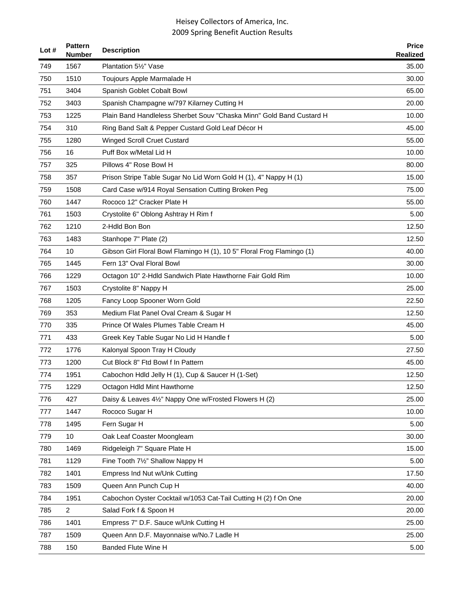| Lot # | <b>Pattern</b><br><b>Number</b> | <b>Description</b>                                                     | <b>Price</b><br><b>Realized</b> |
|-------|---------------------------------|------------------------------------------------------------------------|---------------------------------|
| 749   | 1567                            | Plantation 51/2" Vase                                                  | 35.00                           |
| 750   | 1510                            | Toujours Apple Marmalade H                                             | 30.00                           |
| 751   | 3404                            | Spanish Goblet Cobalt Bowl                                             | 65.00                           |
| 752   | 3403                            | Spanish Champagne w/797 Kilarney Cutting H                             | 20.00                           |
| 753   | 1225                            | Plain Band Handleless Sherbet Souv "Chaska Minn" Gold Band Custard H   | 10.00                           |
| 754   | 310                             | Ring Band Salt & Pepper Custard Gold Leaf Décor H                      | 45.00                           |
| 755   | 1280                            | <b>Winged Scroll Cruet Custard</b>                                     | 55.00                           |
| 756   | 16                              | Puff Box w/Metal Lid H                                                 | 10.00                           |
| 757   | 325                             | Pillows 4" Rose Bowl H                                                 | 80.00                           |
| 758   | 357                             | Prison Stripe Table Sugar No Lid Worn Gold H (1), 4" Nappy H (1)       | 15.00                           |
| 759   | 1508                            | Card Case w/914 Royal Sensation Cutting Broken Peg                     | 75.00                           |
| 760   | 1447                            | Rococo 12" Cracker Plate H                                             | 55.00                           |
| 761   | 1503                            | Crystolite 6" Oblong Ashtray H Rim f                                   | 5.00                            |
| 762   | 1210                            | 2-Hdld Bon Bon                                                         | 12.50                           |
| 763   | 1483                            | Stanhope 7" Plate (2)                                                  | 12.50                           |
| 764   | 10                              | Gibson Girl Floral Bowl Flamingo H (1), 10 5" Floral Frog Flamingo (1) | 40.00                           |
| 765   | 1445                            | Fern 13" Oval Floral Bowl                                              | 30.00                           |
| 766   | 1229                            | Octagon 10" 2-Hdld Sandwich Plate Hawthorne Fair Gold Rim              | 10.00                           |
| 767   | 1503                            | Crystolite 8" Nappy H                                                  | 25.00                           |
| 768   | 1205                            | Fancy Loop Spooner Worn Gold                                           | 22.50                           |
| 769   | 353                             | Medium Flat Panel Oval Cream & Sugar H                                 | 12.50                           |
| 770   | 335                             | Prince Of Wales Plumes Table Cream H                                   | 45.00                           |
| 771   | 433                             | Greek Key Table Sugar No Lid H Handle f                                | 5.00                            |
| 772   | 1776                            | Kalonyal Spoon Tray H Cloudy                                           | 27.50                           |
| 773   | 1200                            | Cut Block 8" Ftd Bowl f In Pattern                                     | 45.00                           |
| 774   | 1951                            | Cabochon Hdld Jelly H (1), Cup & Saucer H (1-Set)                      | 12.50                           |
| 775   | 1229                            | Octagon Hdld Mint Hawthorne                                            | 12.50                           |
| 776   | 427                             | Daisy & Leaves 41/2" Nappy One w/Frosted Flowers H (2)                 | 25.00                           |
| 777   | 1447                            | Rococo Sugar H                                                         | 10.00                           |
| 778   | 1495                            | Fern Sugar H                                                           | 5.00                            |
| 779   | 10                              | Oak Leaf Coaster Moongleam                                             | 30.00                           |
| 780   | 1469                            | Ridgeleigh 7" Square Plate H                                           | 15.00                           |
| 781   | 1129                            | Fine Tooth 71/2" Shallow Nappy H                                       | 5.00                            |
| 782   | 1401                            | Empress Ind Nut w/Unk Cutting                                          | 17.50                           |
| 783   | 1509                            | Queen Ann Punch Cup H                                                  | 40.00                           |
| 784   | 1951                            | Cabochon Oyster Cocktail w/1053 Cat-Tail Cutting H (2) f On One        | 20.00                           |
| 785   | $\overline{2}$                  | Salad Fork f & Spoon H                                                 | 20.00                           |
| 786   | 1401                            | Empress 7" D.F. Sauce w/Unk Cutting H                                  | 25.00                           |
| 787   | 1509                            | Queen Ann D.F. Mayonnaise w/No.7 Ladle H                               | 25.00                           |
| 788   | 150                             | <b>Banded Flute Wine H</b>                                             | 5.00                            |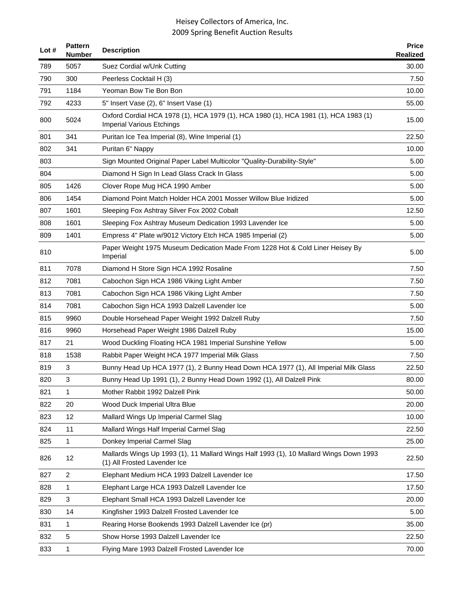| Lot $#$ | <b>Pattern</b><br>Number | <b>Description</b>                                                                                                      | <b>Price</b><br>Realized |
|---------|--------------------------|-------------------------------------------------------------------------------------------------------------------------|--------------------------|
| 789     | 5057                     | Suez Cordial w/Unk Cutting                                                                                              | 30.00                    |
| 790     | 300                      | Peerless Cocktail H (3)                                                                                                 | 7.50                     |
| 791     | 1184                     | Yeoman Bow Tie Bon Bon                                                                                                  | 10.00                    |
| 792     | 4233                     | 5" Insert Vase (2), 6" Insert Vase (1)                                                                                  | 55.00                    |
| 800     | 5024                     | Oxford Cordial HCA 1978 (1), HCA 1979 (1), HCA 1980 (1), HCA 1981 (1), HCA 1983 (1)<br><b>Imperial Various Etchings</b> | 15.00                    |
| 801     | 341                      | Puritan Ice Tea Imperial (8), Wine Imperial (1)                                                                         | 22.50                    |
| 802     | 341                      | Puritan 6" Nappy                                                                                                        | 10.00                    |
| 803     |                          | Sign Mounted Original Paper Label Multicolor "Quality-Durability-Style"                                                 | 5.00                     |
| 804     |                          | Diamond H Sign In Lead Glass Crack In Glass                                                                             | 5.00                     |
| 805     | 1426                     | Clover Rope Mug HCA 1990 Amber                                                                                          | 5.00                     |
| 806     | 1454                     | Diamond Point Match Holder HCA 2001 Mosser Willow Blue Iridized                                                         | 5.00                     |
| 807     | 1601                     | Sleeping Fox Ashtray Silver Fox 2002 Cobalt                                                                             | 12.50                    |
| 808     | 1601                     | Sleeping Fox Ashtray Museum Dedication 1993 Lavender Ice                                                                | 5.00                     |
| 809     | 1401                     | Empress 4" Plate w/9012 Victory Etch HCA 1985 Imperial (2)                                                              | 5.00                     |
| 810     |                          | Paper Weight 1975 Museum Dedication Made From 1228 Hot & Cold Liner Heisey By<br>Imperial                               | 5.00                     |
| 811     | 7078                     | Diamond H Store Sign HCA 1992 Rosaline                                                                                  | 7.50                     |
| 812     | 7081                     | Cabochon Sign HCA 1986 Viking Light Amber                                                                               | 7.50                     |
| 813     | 7081                     | Cabochon Sign HCA 1986 Viking Light Amber                                                                               | 7.50                     |
| 814     | 7081                     | Cabochon Sign HCA 1993 Dalzell Lavender Ice                                                                             | 5.00                     |
| 815     | 9960                     | Double Horsehead Paper Weight 1992 Dalzell Ruby                                                                         | 7.50                     |
| 816     | 9960                     | Horsehead Paper Weight 1986 Dalzell Ruby                                                                                | 15.00                    |
| 817     | 21                       | Wood Duckling Floating HCA 1981 Imperial Sunshine Yellow                                                                | 5.00                     |
| 818     | 1538                     | Rabbit Paper Weight HCA 1977 Imperial Milk Glass                                                                        | 7.50                     |
| 819     | 3                        | Bunny Head Up HCA 1977 (1), 2 Bunny Head Down HCA 1977 (1), All Imperial Milk Glass                                     | 22.50                    |
| 820     | 3                        | Bunny Head Up 1991 (1), 2 Bunny Head Down 1992 (1), All Dalzell Pink                                                    | 80.00                    |
| 821     | 1                        | Mother Rabbit 1992 Dalzell Pink                                                                                         | 50.00                    |
| 822     | 20                       | Wood Duck Imperial Ultra Blue                                                                                           | 20.00                    |
| 823     | 12                       | Mallard Wings Up Imperial Carmel Slag                                                                                   | 10.00                    |
| 824     | 11                       | Mallard Wings Half Imperial Carmel Slag                                                                                 | 22.50                    |
| 825     | 1                        | Donkey Imperial Carmel Slag                                                                                             | 25.00                    |
| 826     | 12                       | Mallards Wings Up 1993 (1), 11 Mallard Wings Half 1993 (1), 10 Mallard Wings Down 1993<br>(1) All Frosted Lavender Ice  | 22.50                    |
| 827     | $\overline{2}$           | Elephant Medium HCA 1993 Dalzell Lavender Ice                                                                           | 17.50                    |
| 828     | 1                        | Elephant Large HCA 1993 Dalzell Lavender Ice                                                                            | 17.50                    |
| 829     | 3                        | Elephant Small HCA 1993 Dalzell Lavender Ice                                                                            | 20.00                    |
| 830     | 14                       | Kingfisher 1993 Dalzell Frosted Lavender Ice                                                                            | 5.00                     |
| 831     | 1                        | Rearing Horse Bookends 1993 Dalzell Lavender Ice (pr)                                                                   | 35.00                    |
| 832     | 5                        | Show Horse 1993 Dalzell Lavender Ice                                                                                    | 22.50                    |
| 833     | 1                        | Flying Mare 1993 Dalzell Frosted Lavender Ice                                                                           | 70.00                    |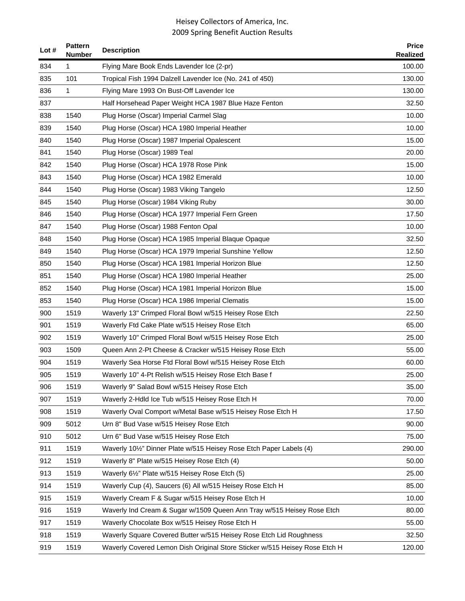| Lot $#$ | <b>Pattern</b><br>Number | <b>Description</b>                                                         | <b>Price</b><br>Realized |
|---------|--------------------------|----------------------------------------------------------------------------|--------------------------|
| 834     | 1                        | Flying Mare Book Ends Lavender Ice (2-pr)                                  | 100.00                   |
| 835     | 101                      | Tropical Fish 1994 Dalzell Lavender Ice (No. 241 of 450)                   | 130.00                   |
| 836     | 1                        | Flying Mare 1993 On Bust-Off Lavender Ice                                  | 130.00                   |
| 837     |                          | Half Horsehead Paper Weight HCA 1987 Blue Haze Fenton                      | 32.50                    |
| 838     | 1540                     | Plug Horse (Oscar) Imperial Carmel Slag                                    | 10.00                    |
| 839     | 1540                     | Plug Horse (Oscar) HCA 1980 Imperial Heather                               | 10.00                    |
| 840     | 1540                     | Plug Horse (Oscar) 1987 Imperial Opalescent                                | 15.00                    |
| 841     | 1540                     | Plug Horse (Oscar) 1989 Teal                                               | 20.00                    |
| 842     | 1540                     | Plug Horse (Oscar) HCA 1978 Rose Pink                                      | 15.00                    |
| 843     | 1540                     | Plug Horse (Oscar) HCA 1982 Emerald                                        | 10.00                    |
| 844     | 1540                     | Plug Horse (Oscar) 1983 Viking Tangelo                                     | 12.50                    |
| 845     | 1540                     | Plug Horse (Oscar) 1984 Viking Ruby                                        | 30.00                    |
| 846     | 1540                     | Plug Horse (Oscar) HCA 1977 Imperial Fern Green                            | 17.50                    |
| 847     | 1540                     | Plug Horse (Oscar) 1988 Fenton Opal                                        | 10.00                    |
| 848     | 1540                     | Plug Horse (Oscar) HCA 1985 Imperial Blaque Opaque                         | 32.50                    |
| 849     | 1540                     | Plug Horse (Oscar) HCA 1979 Imperial Sunshine Yellow                       | 12.50                    |
| 850     | 1540                     | Plug Horse (Oscar) HCA 1981 Imperial Horizon Blue                          | 12.50                    |
| 851     | 1540                     | Plug Horse (Oscar) HCA 1980 Imperial Heather                               | 25.00                    |
| 852     | 1540                     | Plug Horse (Oscar) HCA 1981 Imperial Horizon Blue                          | 15.00                    |
| 853     | 1540                     | Plug Horse (Oscar) HCA 1986 Imperial Clematis                              | 15.00                    |
| 900     | 1519                     | Waverly 13" Crimped Floral Bowl w/515 Heisey Rose Etch                     | 22.50                    |
| 901     | 1519                     | Waverly Ftd Cake Plate w/515 Heisey Rose Etch                              | 65.00                    |
| 902     | 1519                     | Waverly 10" Crimped Floral Bowl w/515 Heisey Rose Etch                     | 25.00                    |
| 903     | 1509                     | Queen Ann 2-Pt Cheese & Cracker w/515 Heisey Rose Etch                     | 55.00                    |
| 904     | 1519                     | Waverly Sea Horse Ftd Floral Bowl w/515 Heisey Rose Etch                   | 60.00                    |
| 905     | 1519                     | Waverly 10" 4-Pt Relish w/515 Heisey Rose Etch Base f                      | 25.00                    |
| 906     | 1519                     | Waverly 9" Salad Bowl w/515 Heisey Rose Etch                               | 35.00                    |
| 907     | 1519                     | Waverly 2-Hdld Ice Tub w/515 Heisey Rose Etch H                            | 70.00                    |
| 908     | 1519                     | Waverly Oval Comport w/Metal Base w/515 Heisey Rose Etch H                 | 17.50                    |
| 909     | 5012                     | Urn 8" Bud Vase w/515 Heisey Rose Etch                                     | 90.00                    |
| 910     | 5012                     | Urn 6" Bud Vase w/515 Heisey Rose Etch                                     | 75.00                    |
| 911     | 1519                     | Waverly 101/2" Dinner Plate w/515 Heisey Rose Etch Paper Labels (4)        | 290.00                   |
| 912     | 1519                     | Waverly 8" Plate w/515 Heisey Rose Etch (4)                                | 50.00                    |
| 913     | 1519                     | Waverly 61/2" Plate w/515 Heisey Rose Etch (5)                             | 25.00                    |
| 914     | 1519                     | Waverly Cup (4), Saucers (6) All w/515 Heisey Rose Etch H                  | 85.00                    |
| 915     | 1519                     | Waverly Cream F & Sugar w/515 Heisey Rose Etch H                           | 10.00                    |
| 916     | 1519                     | Waverly Ind Cream & Sugar w/1509 Queen Ann Tray w/515 Heisey Rose Etch     | 80.00                    |
| 917     | 1519                     | Waverly Chocolate Box w/515 Heisey Rose Etch H                             | 55.00                    |
| 918     | 1519                     | Waverly Square Covered Butter w/515 Heisey Rose Etch Lid Roughness         | 32.50                    |
| 919     | 1519                     | Waverly Covered Lemon Dish Original Store Sticker w/515 Heisey Rose Etch H | 120.00                   |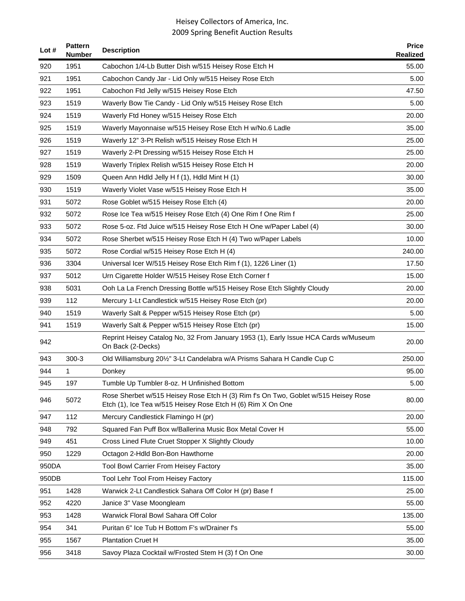| Lot $#$ | <b>Pattern</b><br><b>Number</b> | <b>Description</b>                                                                                                                                | <b>Price</b><br>Realized |
|---------|---------------------------------|---------------------------------------------------------------------------------------------------------------------------------------------------|--------------------------|
| 920     | 1951                            | Cabochon 1/4-Lb Butter Dish w/515 Heisey Rose Etch H                                                                                              | 55.00                    |
| 921     | 1951                            | Cabochon Candy Jar - Lid Only w/515 Heisey Rose Etch                                                                                              | 5.00                     |
| 922     | 1951                            | Cabochon Ftd Jelly w/515 Heisey Rose Etch                                                                                                         | 47.50                    |
| 923     | 1519                            | Waverly Bow Tie Candy - Lid Only w/515 Heisey Rose Etch                                                                                           | 5.00                     |
| 924     | 1519                            | Waverly Ftd Honey w/515 Heisey Rose Etch                                                                                                          | 20.00                    |
| 925     | 1519                            | Waverly Mayonnaise w/515 Heisey Rose Etch H w/No.6 Ladle                                                                                          | 35.00                    |
| 926     | 1519                            | Waverly 12" 3-Pt Relish w/515 Heisey Rose Etch H                                                                                                  | 25.00                    |
| 927     | 1519                            | Waverly 2-Pt Dressing w/515 Heisey Rose Etch H                                                                                                    | 25.00                    |
| 928     | 1519                            | Waverly Triplex Relish w/515 Heisey Rose Etch H                                                                                                   | 20.00                    |
| 929     | 1509                            | Queen Ann Hdld Jelly H f (1), Hdld Mint H (1)                                                                                                     | 30.00                    |
| 930     | 1519                            | Waverly Violet Vase w/515 Heisey Rose Etch H                                                                                                      | 35.00                    |
| 931     | 5072                            | Rose Goblet w/515 Heisey Rose Etch (4)                                                                                                            | 20.00                    |
| 932     | 5072                            | Rose Ice Tea w/515 Heisey Rose Etch (4) One Rim f One Rim f                                                                                       | 25.00                    |
| 933     | 5072                            | Rose 5-oz. Ftd Juice w/515 Heisey Rose Etch H One w/Paper Label (4)                                                                               | 30.00                    |
| 934     | 5072                            | Rose Sherbet w/515 Heisey Rose Etch H (4) Two w/Paper Labels                                                                                      | 10.00                    |
| 935     | 5072                            | Rose Cordial w/515 Heisey Rose Etch H (4)                                                                                                         | 240.00                   |
| 936     | 3304                            | Universal Icer W/515 Heisey Rose Etch Rim f (1), 1226 Liner (1)                                                                                   | 17.50                    |
| 937     | 5012                            | Urn Cigarette Holder W/515 Heisey Rose Etch Corner f                                                                                              | 15.00                    |
| 938     | 5031                            | Ooh La La French Dressing Bottle w/515 Heisey Rose Etch Slightly Cloudy                                                                           | 20.00                    |
| 939     | 112                             | Mercury 1-Lt Candlestick w/515 Heisey Rose Etch (pr)                                                                                              | 20.00                    |
| 940     | 1519                            | Waverly Salt & Pepper w/515 Heisey Rose Etch (pr)                                                                                                 | 5.00                     |
| 941     | 1519                            | Waverly Salt & Pepper w/515 Heisey Rose Etch (pr)                                                                                                 | 15.00                    |
| 942     |                                 | Reprint Heisey Catalog No, 32 From January 1953 (1), Early Issue HCA Cards w/Museum<br>On Back (2-Decks)                                          | 20.00                    |
| 943     | $300-3$                         | Old Williamsburg 201/2" 3-Lt Candelabra w/A Prisms Sahara H Candle Cup C                                                                          | 250.00                   |
| 944     | 1                               | Donkey                                                                                                                                            | 95.00                    |
| 945     | 197                             | Tumble Up Tumbler 8-oz. H Unfinished Bottom                                                                                                       | 5.00                     |
| 946     | 5072                            | Rose Sherbet w/515 Heisey Rose Etch H (3) Rim f's On Two, Goblet w/515 Heisey Rose<br>Etch (1), Ice Tea w/515 Heisey Rose Etch H (6) Rim X On One | 80.00                    |
| 947     | 112                             | Mercury Candlestick Flamingo H (pr)                                                                                                               | 20.00                    |
| 948     | 792                             | Squared Fan Puff Box w/Ballerina Music Box Metal Cover H                                                                                          | 55.00                    |
| 949     | 451                             | Cross Lined Flute Cruet Stopper X Slightly Cloudy                                                                                                 | 10.00                    |
| 950     | 1229                            | Octagon 2-Hdld Bon-Bon Hawthorne                                                                                                                  | 20.00                    |
| 950DA   |                                 | Tool Bowl Carrier From Heisey Factory                                                                                                             | 35.00                    |
| 950DB   |                                 | Tool Lehr Tool From Heisey Factory                                                                                                                | 115.00                   |
| 951     | 1428                            | Warwick 2-Lt Candlestick Sahara Off Color H (pr) Base f                                                                                           | 25.00                    |
| 952     | 4220                            | Janice 3" Vase Moongleam                                                                                                                          | 55.00                    |
| 953     | 1428                            | Warwick Floral Bowl Sahara Off Color                                                                                                              | 135.00                   |
| 954     | 341                             | Puritan 6" Ice Tub H Bottom F's w/Drainer f's                                                                                                     | 55.00                    |
| 955     | 1567                            | <b>Plantation Cruet H</b>                                                                                                                         | 35.00                    |
| 956     | 3418                            | Savoy Plaza Cocktail w/Frosted Stem H (3) f On One                                                                                                | 30.00                    |